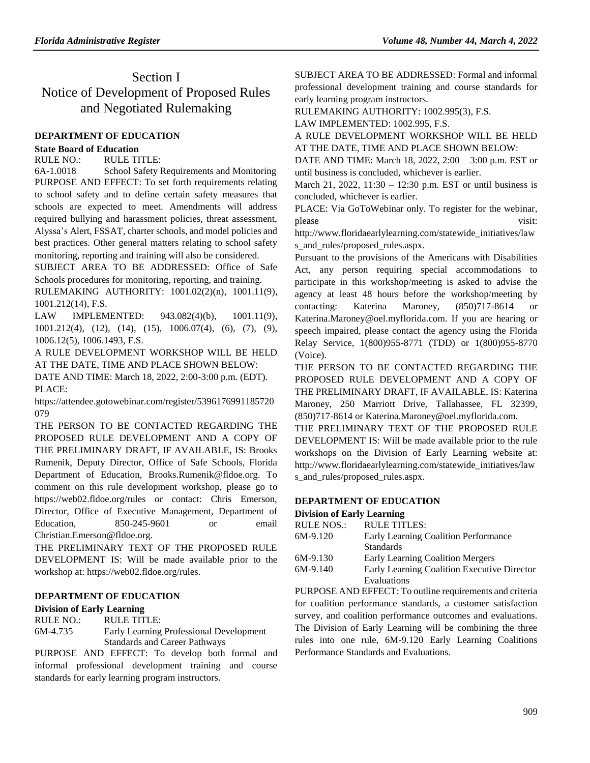# Section I Notice of Development of Proposed Rules and Negotiated Rulemaking

### **[DEPARTMENT OF EDUCATION](https://www.flrules.org/gateway/department.asp?id=6)**

#### **[State Board of Education](https://www.flrules.org/gateway/organization.asp?id=195)**

RULE NO.: RULE TITLE:

[6A-1.0018](https://www.flrules.org/gateway/ruleNo.asp?id=6A-1.0018) School Safety Requirements and Monitoring PURPOSE AND EFFECT: To set forth requirements relating to school safety and to define certain safety measures that schools are expected to meet. Amendments will address required bullying and harassment policies, threat assessment, Alyssa's Alert, FSSAT, charter schools, and model policies and best practices. Other general matters relating to school safety monitoring, reporting and training will also be considered.

SUBJECT AREA TO BE ADDRESSED: Office of Safe Schools procedures for monitoring, reporting, and training.

RULEMAKING AUTHORITY: [1001.02\(2\)\(n\),](https://www.flrules.org/gateway/statute.asp?id=1001.02(2)(n)) [1001.11\(9\),](https://www.flrules.org/gateway/statute.asp?id=%201001.11(9)) [1001.212\(14\),](https://www.flrules.org/gateway/statute.asp?id=%201001.212(14)) F.S.

LAW IMPLEMENTED: [943.082\(4\)\(b\),](https://www.flrules.org/gateway/statute.asp?id=943.082(4)(b)) [1001.11\(9\),](https://www.flrules.org/gateway/statute.asp?id=%201001.11(9)) [1001.212\(4\),](https://www.flrules.org/gateway/statute.asp?id=%201001.212(4)) (12), (14), (15), [1006.07\(4\),](https://www.flrules.org/gateway/statute.asp?id=%201006.07(4)) (6), (7), (9), [1006.12\(5\),](https://www.flrules.org/gateway/statute.asp?id=%201006.12(5)) [1006.1493,](https://www.flrules.org/gateway/statute.asp?id=%201006.1493) F.S.

A RULE DEVELOPMENT WORKSHOP WILL BE HELD AT THE DATE, TIME AND PLACE SHOWN BELOW: DATE AND TIME: March 18, 2022, 2:00-3:00 p.m. (EDT). PLACE:

https://attendee.gotowebinar.com/register/5396176991185720 079

THE PERSON TO BE CONTACTED REGARDING THE PROPOSED RULE DEVELOPMENT AND A COPY OF THE PRELIMINARY DRAFT, IF AVAILABLE, IS: Brooks Rumenik, Deputy Director, Office of Safe Schools, Florida Department of Education, Brooks.Rumenik@fldoe.org. To comment on this rule development workshop, please go to https://web02.fldoe.org/rules or contact: Chris Emerson, Director, Office of Executive Management, Department of Education, 850-245-9601 or email Christian.Emerson@fldoe.org.

THE PRELIMINARY TEXT OF THE PROPOSED RULE DEVELOPMENT IS: Will be made available prior to the workshop at: https://web02.fldoe.org/rules.

### **[DEPARTMENT OF EDUCATION](https://www.flrules.org/gateway/department.asp?id=6)**

### **[Division of Early Learning](https://www.flrules.org/gateway/organization.asp?id=1044)**

RULE NO.: RULE TITLE: [6M-4.735](https://www.flrules.org/gateway/ruleNo.asp?id=6M-4.735) Early Learning Professional Development Standards and Career Pathways

PURPOSE AND EFFECT: To develop both formal and informal professional development training and course standards for early learning program instructors.

SUBJECT AREA TO BE ADDRESSED: Formal and informal professional development training and course standards for early learning program instructors.

RULEMAKING AUTHORITY: [1002.995\(3\),](https://www.flrules.org/gateway/statute.asp?id=1002.995(3)) F.S.

LAW IMPLEMENTED: [1002.995,](https://www.flrules.org/gateway/statute.asp?id=1002.995) F.S.

A RULE DEVELOPMENT WORKSHOP WILL BE HELD AT THE DATE, TIME AND PLACE SHOWN BELOW:

DATE AND TIME: March 18, 2022, 2:00 – 3:00 p.m. EST or until business is concluded, whichever is earlier.

March 21, 2022, 11:30 – 12:30 p.m. EST or until business is concluded, whichever is earlier.

PLACE: Via GoToWebinar only. To register for the webinar, please visit:

http://www.floridaearlylearning.com/statewide\_initiatives/law s and rules/proposed rules.aspx.

Pursuant to the provisions of the Americans with Disabilities Act, any person requiring special accommodations to participate in this workshop/meeting is asked to advise the agency at least 48 hours before the workshop/meeting by contacting: Katerina Maroney, (850)717-8614 or Katerina.Maroney@oel.myflorida.com. If you are hearing or speech impaired, please contact the agency using the Florida Relay Service, 1(800)955-8771 (TDD) or 1(800)955-8770 (Voice).

THE PERSON TO BE CONTACTED REGARDING THE PROPOSED RULE DEVELOPMENT AND A COPY OF THE PRELIMINARY DRAFT, IF AVAILABLE, IS: Katerina Maroney, 250 Marriott Drive, Tallahassee, FL 32399, (850)717-8614 or Katerina.Maroney@oel.myflorida.com.

THE PRELIMINARY TEXT OF THE PROPOSED RULE DEVELOPMENT IS: Will be made available prior to the rule workshops on the Division of Early Learning website at: [http://www.floridaearlylearning.com/statewide\\_initiatives/law](http://www.floridaearlylearning.com/statewide_initiatives/laws_and_rules/proposed_rules.aspx) [s\\_and\\_rules/proposed\\_rules.aspx.](http://www.floridaearlylearning.com/statewide_initiatives/laws_and_rules/proposed_rules.aspx)

# **[DEPARTMENT OF EDUCATION](https://www.flrules.org/gateway/department.asp?id=6)**

#### **[Division of Early Learning](https://www.flrules.org/gateway/organization.asp?id=1044)**

| <b>RULE NOS.:</b> | <b>RULE TITLES:</b>                         |
|-------------------|---------------------------------------------|
| $6M-9.120$        | Early Learning Coalition Performance        |
|                   | <b>Standards</b>                            |
| $6M-9.130$        | Early Learning Coalition Mergers            |
| $6M-9.140$        | Early Learning Coalition Executive Director |
|                   | Evaluations                                 |

PURPOSE AND EFFECT: To outline requirements and criteria for coalition performance standards, a customer satisfaction survey, and coalition performance outcomes and evaluations. The Division of Early Learning will be combining the three rules into one rule, 6M-9.120 Early Learning Coalitions Performance Standards and Evaluations.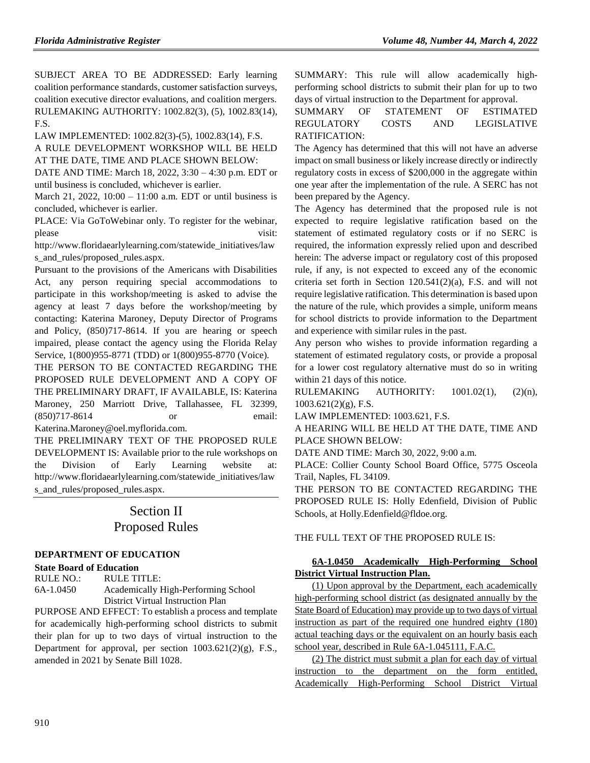SUBJECT AREA TO BE ADDRESSED: Early learning coalition performance standards, customer satisfaction surveys, coalition executive director evaluations, and coalition mergers. RULEMAKING AUTHORITY: [1002.82\(3\),](https://www.flrules.org/gateway/statute.asp?id=1002.82(3)) (5), [1002.83\(14\),](https://www.flrules.org/gateway/statute.asp?id=%201002.83(14)) F.S.

LAW IMPLEMENTED: [1002.82\(3\)-\(5\),](https://www.flrules.org/gateway/statute.asp?id=1002.82(3)-(5)) [1002.83\(14\),](https://www.flrules.org/gateway/statute.asp?id=%201002.83(14)) F.S.

A RULE DEVELOPMENT WORKSHOP WILL BE HELD AT THE DATE, TIME AND PLACE SHOWN BELOW:

DATE AND TIME: March 18, 2022, 3:30 – 4:30 p.m. EDT or until business is concluded, whichever is earlier.

March 21, 2022, 10:00 – 11:00 a.m. EDT or until business is concluded, whichever is earlier.

PLACE: Via GoToWebinar only. To register for the webinar, please visit:

http://www.floridaearlylearning.com/statewide\_initiatives/law s\_and\_rules/proposed\_rules.aspx.

Pursuant to the provisions of the Americans with Disabilities Act, any person requiring special accommodations to participate in this workshop/meeting is asked to advise the agency at least 7 days before the workshop/meeting by contacting: Katerina Maroney, Deputy Director of Programs and Policy, (850)717-8614. If you are hearing or speech impaired, please contact the agency using the Florida Relay Service, 1(800)955-8771 (TDD) or 1(800)955-8770 (Voice).

THE PERSON TO BE CONTACTED REGARDING THE PROPOSED RULE DEVELOPMENT AND A COPY OF THE PRELIMINARY DRAFT, IF AVAILABLE, IS: Katerina Maroney, 250 Marriott Drive, Tallahassee, FL 32399, (850)717-8614 or email: Katerina.Maroney@oel.myflorida.com.

THE PRELIMINARY TEXT OF THE PROPOSED RULE DEVELOPMENT IS: Available prior to the rule workshops on the Division of Early Learning website at: [http://www.floridaearlylearning.com/statewide\\_initiatives/law](http://www.floridaearlylearning.com/statewide_initiatives/laws_and_rules/proposed_rules.aspx) [s\\_and\\_rules/proposed\\_rules.aspx.](http://www.floridaearlylearning.com/statewide_initiatives/laws_and_rules/proposed_rules.aspx)

# Section II Proposed Rules

### **[DEPARTMENT OF EDUCATION](https://www.flrules.org/gateway/department.asp?id=6)**

### **State Board [of Education](https://www.flrules.org/gateway/organization.asp?id=195)**

RULE NO.: RULE TITLE: [6A-1.0450](https://www.flrules.org/gateway/ruleNo.asp?id=6A-1.0450) Academically High-Performing School District Virtual Instruction Plan

PURPOSE AND EFFECT: To establish a process and template for academically high-performing school districts to submit their plan for up to two days of virtual instruction to the Department for approval, per section 1003.621(2)(g), F.S., amended in 2021 by Senate Bill 1028.

SUMMARY: This rule will allow academically highperforming school districts to submit their plan for up to two days of virtual instruction to the Department for approval.

# SUMMARY OF STATEMENT OF ESTIMATED REGULATORY COSTS AND LEGISLATIVE RATIFICATION:

The Agency has determined that this will not have an adverse impact on small business or likely increase directly or indirectly regulatory costs in excess of \$200,000 in the aggregate within one year after the implementation of the rule. A SERC has not been prepared by the Agency.

The Agency has determined that the proposed rule is not expected to require legislative ratification based on the statement of estimated regulatory costs or if no SERC is required, the information expressly relied upon and described herein: The adverse impact or regulatory cost of this proposed rule, if any, is not expected to exceed any of the economic criteria set forth in Section 120.541(2)(a), F.S. and will not require legislative ratification. This determination is based upon the nature of the rule, which provides a simple, uniform means for school districts to provide information to the Department and experience with similar rules in the past.

Any person who wishes to provide information regarding a statement of estimated regulatory costs, or provide a proposal for a lower cost regulatory alternative must do so in writing within 21 days of this notice.

RULEMAKING AUTHORITY: [1001.02\(1\),](https://www.flrules.org/gateway/statute.asp?id=1001.02(1)) (2)(n),  $1003.621(2)(g)$ , F.S.

LAW IMPLEMENTED: [1003.621,](https://www.flrules.org/gateway/statute.asp?id=1003.621) F.S.

A HEARING WILL BE HELD AT THE DATE, TIME AND PLACE SHOWN BELOW:

DATE AND TIME: March 30, 2022, 9:00 a.m.

PLACE: Collier County School Board Office, 5775 Osceola Trail, Naples, FL 34109.

THE PERSON TO BE CONTACTED REGARDING THE PROPOSED RULE IS: Holly Edenfield, Division of Public Schools, at Holly.Edenfield@fldoe.org.

THE FULL TEXT OF THE PROPOSED RULE IS:

# **6A-1.0450 Academically High-Performing School District Virtual Instruction Plan.**

(1) Upon approval by the Department, each academically high-performing school district (as designated annually by the State Board of Education) may provide up to two days of virtual instruction as part of the required one hundred eighty (180) actual teaching days or the equivalent on an hourly basis each school year, described in Rule 6A-1.045111, F.A.C.

(2) The district must submit a plan for each day of virtual instruction to the department on the form entitled, Academically High-Performing School District Virtual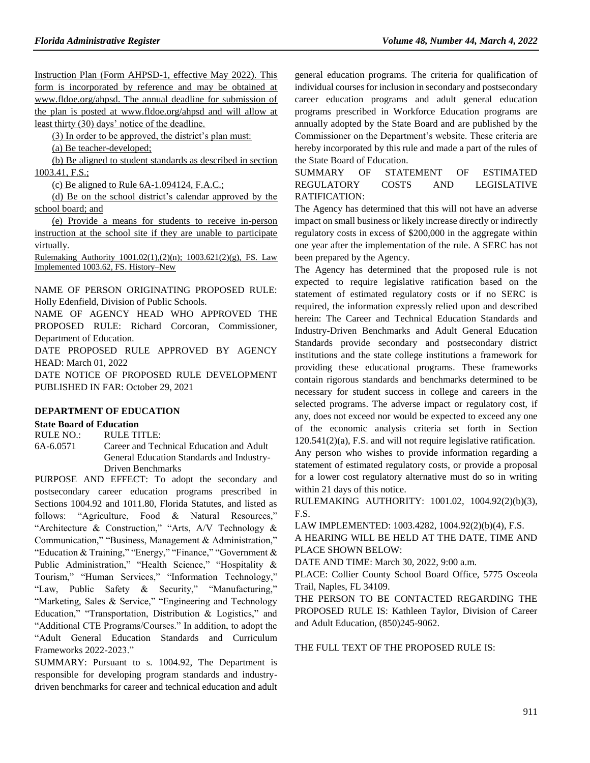Instruction Plan (Form AHPSD-1, effective May 2022). This form is incorporated by reference and may be obtained at www.fldoe.org/ahpsd. The annual deadline for submission of the plan is posted at www.fldoe.org/ahpsd and will allow at least thirty (30) days' notice of the deadline.

(3) In order to be approved, the district's plan must:

(a) Be teacher-developed;

(b) Be aligned to student standards as described in section 1003.41, F.S.;

(c) Be aligned to Rule 6A-1.094124, F.A.C.;

(d) Be on the school district's calendar approved by the school board; and

(e) Provide a means for students to receive in-person instruction at the school site if they are unable to participate virtually.

Rulemaking Authority 1001.02(1),(2)(n); 1003.621(2)(g), FS. Law Implemented 1003.62, FS. History–New

NAME OF PERSON ORIGINATING PROPOSED RULE: Holly Edenfield, Division of Public Schools.

NAME OF AGENCY HEAD WHO APPROVED THE PROPOSED RULE: Richard Corcoran, Commissioner, Department of Education.

DATE PROPOSED RULE APPROVED BY AGENCY HEAD: March 01, 2022

DATE NOTICE OF PROPOSED RULE DEVELOPMENT PUBLISHED IN FAR: October 29, 2021

#### **[DEPARTMENT OF EDUCATION](https://www.flrules.org/gateway/department.asp?id=6)**

#### **[State Board of Education](https://www.flrules.org/gateway/organization.asp?id=195)**

RULE NO.: RULE TITLE:

[6A-6.0571](https://www.flrules.org/gateway/ruleNo.asp?id=6A-6.0571) Career and Technical Education and Adult General Education Standards and Industry-Driven Benchmarks

PURPOSE AND EFFECT: To adopt the secondary and postsecondary career education programs prescribed in Sections 1004.92 and 1011.80, Florida Statutes, and listed as follows: "Agriculture, Food & Natural Resources," "Architecture & Construction," "Arts, A/V Technology & Communication," "Business, Management & Administration," "Education & Training," "Energy," "Finance," "Government & Public Administration," "Health Science," "Hospitality & Tourism," "Human Services," "Information Technology," "Law, Public Safety & Security," "Manufacturing," "Marketing, Sales & Service," "Engineering and Technology Education," "Transportation, Distribution & Logistics," and "Additional CTE Programs/Courses." In addition, to adopt the "Adult General Education Standards and Curriculum Frameworks 2022-2023."

SUMMARY: Pursuant to s. 1004.92, The Department is responsible for developing program standards and industrydriven benchmarks for career and technical education and adult general education programs. The criteria for qualification of individual courses for inclusion in secondary and postsecondary career education programs and adult general education programs prescribed in Workforce Education programs are annually adopted by the State Board and are published by the Commissioner on the Department's website. These criteria are hereby incorporated by this rule and made a part of the rules of the State Board of Education.

SUMMARY OF STATEMENT OF ESTIMATED REGULATORY COSTS AND LEGISLATIVE RATIFICATION:

The Agency has determined that this will not have an adverse impact on small business or likely increase directly or indirectly regulatory costs in excess of \$200,000 in the aggregate within one year after the implementation of the rule. A SERC has not been prepared by the Agency.

The Agency has determined that the proposed rule is not expected to require legislative ratification based on the statement of estimated regulatory costs or if no SERC is required, the information expressly relied upon and described herein: The Career and Technical Education Standards and Industry-Driven Benchmarks and Adult General Education Standards provide secondary and postsecondary district institutions and the state college institutions a framework for providing these educational programs. These frameworks contain rigorous standards and benchmarks determined to be necessary for student success in college and careers in the selected programs. The adverse impact or regulatory cost, if any, does not exceed nor would be expected to exceed any one of the economic analysis criteria set forth in Section 120.541(2)(a), F.S. and will not require legislative ratification. Any person who wishes to provide information regarding a statement of estimated regulatory costs, or provide a proposal for a lower cost regulatory alternative must do so in writing within 21 days of this notice.

RULEMAKING AUTHORITY: [1001.02,](https://www.flrules.org/gateway/statute.asp?id=1001.02) [1004.92\(2\)\(b\)\(3\),](https://www.flrules.org/gateway/statute.asp?id=%201004.92(2)(b)(3)) F.S.

LAW IMPLEMENTED: [1003.4282,](https://www.flrules.org/gateway/statute.asp?id=1003.4282) [1004.92\(2\)\(b\)\(4\),](https://www.flrules.org/gateway/statute.asp?id=%201004.92(2)(b)(4)) F.S.

A HEARING WILL BE HELD AT THE DATE, TIME AND PLACE SHOWN BELOW:

DATE AND TIME: March 30, 2022, 9:00 a.m.

PLACE: Collier County School Board Office, 5775 Osceola Trail, Naples, FL 34109.

THE PERSON TO BE CONTACTED REGARDING THE PROPOSED RULE IS: Kathleen Taylor, Division of Career and Adult Education, (850)245-9062.

THE FULL TEXT OF THE PROPOSED RULE IS: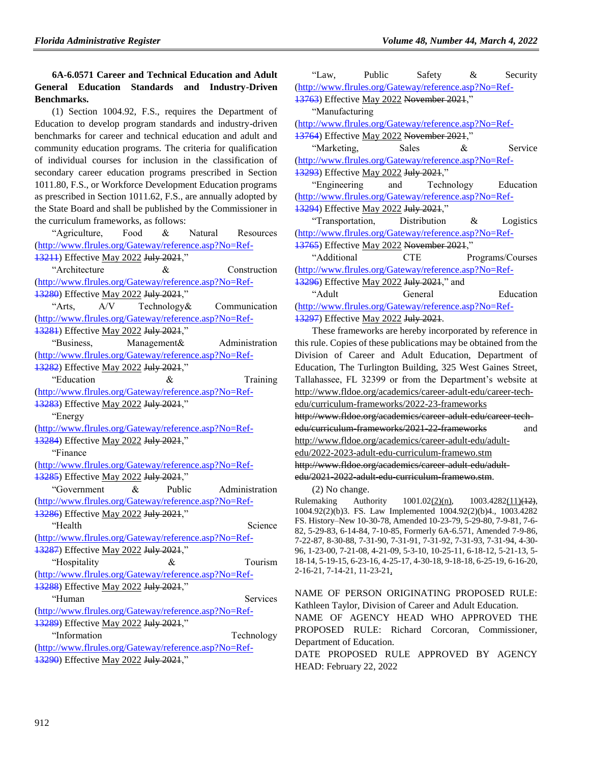# **6A-6.0571 Career and Technical Education and Adult General Education Standards and Industry-Driven Benchmarks.**

(1) Section 1004.92, F.S., requires the Department of Education to develop program standards and industry-driven benchmarks for career and technical education and adult and community education programs. The criteria for qualification of individual courses for inclusion in the classification of secondary career education programs prescribed in Section 1011.80, F.S., or Workforce Development Education programs as prescribed in Section 1011.62, F.S., are annually adopted by the State Board and shall be published by the Commissioner in the curriculum frameworks, as follows:

"Agriculture, Food & Natural Resources (http://www.flrules.org/Gateway/reference.asp?No=Ref-13211) Effective May 2022 July 2021," "Architecture & Construction (http://www.flrules.org/Gateway/reference.asp?No=Ref-

13280) Effective May 2022 July 2021,"

"Arts, A/V Technology& Communication (http://www.flrules.org/Gateway/reference.asp?No=Ref-

13281) Effective May 2022 July 2021," "Business, Management& Administration (http://www.flrules.org/Gateway/reference.asp?No=Ref-

13282) Effective May 2022 July 2021,"

"Education & Training (http://www.flrules.org/Gateway/reference.asp?No=Ref-13283) Effective May 2022 July 2021,"

"Energy

(http://www.flrules.org/Gateway/reference.asp?No=Ref-13284) Effective May 2022 July 2021,"

"Finance

(http://www.flrules.org/Gateway/reference.asp?No=Ref-13285) Effective May 2022 July 2021,"

"Government & Public Administration (http://www.flrules.org/Gateway/reference.asp?No=Ref-13286) Effective May 2022 July 2021," "Health Science (http://www.flrules.org/Gateway/reference.asp?No=Ref-

13287) Effective May 2022 July 2021," "Hospitality & Tourism

(http://www.flrules.org/Gateway/reference.asp?No=Ref-13288) Effective May 2022 July 2021,"

"Human Services" (http://www.flrules.org/Gateway/reference.asp?No=Ref-

13289) Effective May 2022 July 2021," "Information Technology (http://www.flrules.org/Gateway/reference.asp?No=Ref-13290) Effective May 2022 July 2021,"

"Law, Public Safety & Security (http://www.flrules.org/Gateway/reference.asp?No=Ref-

13763) Effective May 2022 November 2021," "Manufacturing

(http://www.flrules.org/Gateway/reference.asp?No=Ref-

13764) Effective May 2022 November 2021,"

"Marketing, Sales & Service (http://www.flrules.org/Gateway/reference.asp?No=Ref-13293) Effective May 2022 July 2021,"

"Engineering and Technology Education (http://www.flrules.org/Gateway/reference.asp?No=Ref-

13294) Effective May 2022 July 2021," "Transportation, Distribution & Logistics

(http://www.flrules.org/Gateway/reference.asp?No=Ref-13765) Effective May 2022 November 2021,"

"Additional CTE Programs/Courses (http://www.flrules.org/Gateway/reference.asp?No=Ref-

13296) Effective May 2022 July 2021," and

"Adult General Education (http://www.flrules.org/Gateway/reference.asp?No=Ref-13297) Effective May 2022 July 2021.

These frameworks are hereby incorporated by reference in this rule. Copies of these publications may be obtained from the Division of Career and Adult Education, Department of Education, The Turlington Building, 325 West Gaines Street, Tallahassee, FL 32399 or from the Department's website at http://www.fldoe.org/academics/career-adult-edu/career-techedu/curriculum-frameworks/2022-23-frameworks http://www.fldoe.org/academics/career-adult-edu/career-techedu/curriculum-frameworks/2021-22-frameworks and http://www.fldoe.org/academics/career-adult-edu/adultedu/2022-2023-adult-edu-curriculum-framewo.stm http://www.fldoe.org/academics/career-adult-edu/adult-

edu/2021-2022 adult edu curriculum framewo.stm.

(2) No change.

Rulemaking Authority 1001.02(2)(n), 1003.4282(11)(12), 1004.92(2)(b)3. FS. Law Implemented 1004.92(2)(b)4., 1003.4282 FS. History–New 10-30-78, Amended 10-23-79, 5-29-80, 7-9-81, 7-6- 82, 5-29-83, 6-14-84, 7-10-85, Formerly 6A-6.571, Amended 7-9-86, 7-22-87, 8-30-88, 7-31-90, 7-31-91, 7-31-92, 7-31-93, 7-31-94, 4-30- 96, 1-23-00, 7-21-08, 4-21-09, 5-3-10, 10-25-11, 6-18-12, 5-21-13, 5- 18-14, 5-19-15, 6-23-16, 4-25-17, 4-30-18, 9-18-18, 6-25-19, 6-16-20, 2-16-21, 7-14-21, 11-23-21,

NAME OF PERSON ORIGINATING PROPOSED RULE: Kathleen Taylor, Division of Career and Adult Education.

NAME OF AGENCY HEAD WHO APPROVED THE PROPOSED RULE: Richard Corcoran, Commissioner, Department of Education.

DATE PROPOSED RULE APPROVED BY AGENCY HEAD: February 22, 2022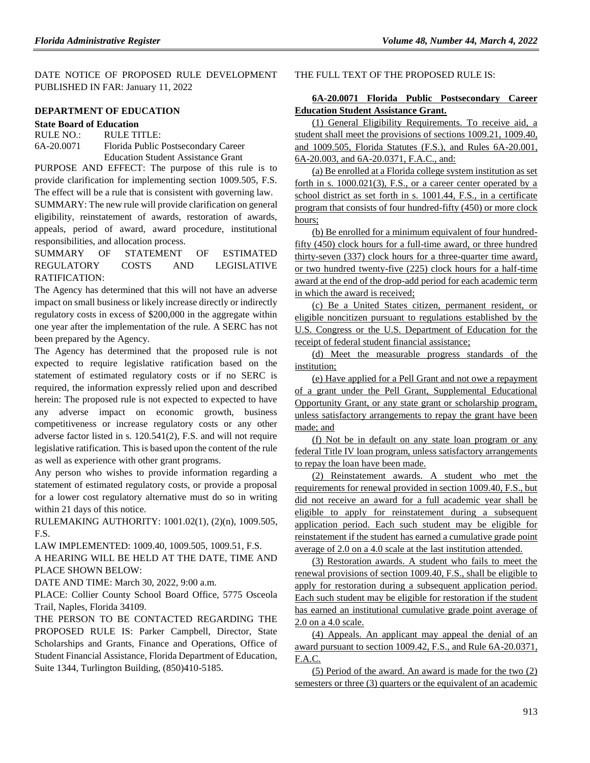DATE NOTICE OF PROPOSED RULE DEVELOPMENT PUBLISHED IN FAR: January 11, 2022

# **[DEPARTMENT OF EDUCATION](https://www.flrules.org/gateway/department.asp?id=6)**

**[State Board of Education](https://www.flrules.org/gateway/organization.asp?id=195)** RULE NO.: RULE TITLE:

[6A-20.0071](https://www.flrules.org/gateway/ruleNo.asp?id=6A-20.0071) Florida Public Postsecondary Career Education Student Assistance Grant

PURPOSE AND EFFECT: The purpose of this rule is to provide clarification for implementing section 1009.505, F.S. The effect will be a rule that is consistent with governing law. SUMMARY: The new rule will provide clarification on general

eligibility, reinstatement of awards, restoration of awards, appeals, period of award, award procedure, institutional responsibilities, and allocation process.

SUMMARY OF STATEMENT OF ESTIMATED REGULATORY COSTS AND LEGISLATIVE RATIFICATION:

The Agency has determined that this will not have an adverse impact on small business or likely increase directly or indirectly regulatory costs in excess of \$200,000 in the aggregate within one year after the implementation of the rule. A SERC has not been prepared by the Agency.

The Agency has determined that the proposed rule is not expected to require legislative ratification based on the statement of estimated regulatory costs or if no SERC is required, the information expressly relied upon and described herein: The proposed rule is not expected to expected to have any adverse impact on economic growth, business competitiveness or increase regulatory costs or any other adverse factor listed in s. 120.541(2), F.S. and will not require legislative ratification. This is based upon the content of the rule as well as experience with other grant programs.

Any person who wishes to provide information regarding a statement of estimated regulatory costs, or provide a proposal for a lower cost regulatory alternative must do so in writing within 21 days of this notice.

RULEMAKING AUTHORITY: [1001.02\(1\),](https://www.flrules.org/gateway/statute.asp?id=1001.02(1)) (2)(n), [1009.505,](https://www.flrules.org/gateway/statute.asp?id=%201009.505) F.S.

LAW IMPLEMENTED: [1009.40,](https://www.flrules.org/gateway/statute.asp?id=1009.40) [1009.505,](https://www.flrules.org/gateway/statute.asp?id=%201009.505) [1009.51,](https://www.flrules.org/gateway/statute.asp?id=%201009.51) F.S. A HEARING WILL BE HELD AT THE DATE, TIME AND PLACE SHOWN BELOW:

DATE AND TIME: March 30, 2022, 9:00 a.m.

PLACE: Collier County School Board Office, 5775 Osceola Trail, Naples, Florida 34109.

THE PERSON TO BE CONTACTED REGARDING THE PROPOSED RULE IS: Parker Campbell, Director, State Scholarships and Grants, Finance and Operations, Office of Student Financial Assistance, Florida Department of Education, Suite 1344, Turlington Building, (850)410-5185.

#### THE FULL TEXT OF THE PROPOSED RULE IS:

### **6A-20.0071 Florida Public Postsecondary Career Education Student Assistance Grant.**

(1) General Eligibility Requirements. To receive aid, a student shall meet the provisions of sections 1009.21, 1009.40, and 1009.505, Florida Statutes (F.S.), and Rules 6A-20.001, 6A-20.003, and 6A-20.0371, F.A.C., and:

(a) Be enrolled at a Florida college system institution as set forth in s. 1000.021(3), F.S., or a career center operated by a school district as set forth in s. 1001.44, F.S., in a certificate program that consists of four hundred-fifty (450) or more clock hours;

(b) Be enrolled for a minimum equivalent of four hundredfifty (450) clock hours for a full-time award, or three hundred thirty-seven (337) clock hours for a three-quarter time award, or two hundred twenty-five (225) clock hours for a half-time award at the end of the drop-add period for each academic term in which the award is received;

(c) Be a United States citizen, permanent resident, or eligible noncitizen pursuant to regulations established by the U.S. Congress or the U.S. Department of Education for the receipt of federal student financial assistance;

(d) Meet the measurable progress standards of the institution;

(e) Have applied for a Pell Grant and not owe a repayment of a grant under the Pell Grant, Supplemental Educational Opportunity Grant, or any state grant or scholarship program, unless satisfactory arrangements to repay the grant have been made; and

(f) Not be in default on any state loan program or any federal Title IV loan program, unless satisfactory arrangements to repay the loan have been made.

(2) Reinstatement awards. A student who met the requirements for renewal provided in section 1009.40, F.S., but did not receive an award for a full academic year shall be eligible to apply for reinstatement during a subsequent application period. Each such student may be eligible for reinstatement if the student has earned a cumulative grade point average of 2.0 on a 4.0 scale at the last institution attended.

(3) Restoration awards. A student who fails to meet the renewal provisions of section 1009.40, F.S., shall be eligible to apply for restoration during a subsequent application period. Each such student may be eligible for restoration if the student has earned an institutional cumulative grade point average of 2.0 on a 4.0 scale.

(4) Appeals. An applicant may appeal the denial of an award pursuant to section 1009.42, F.S., and Rule 6A-20.0371, F.A.C.

(5) Period of the award. An award is made for the two (2) semesters or three (3) quarters or the equivalent of an academic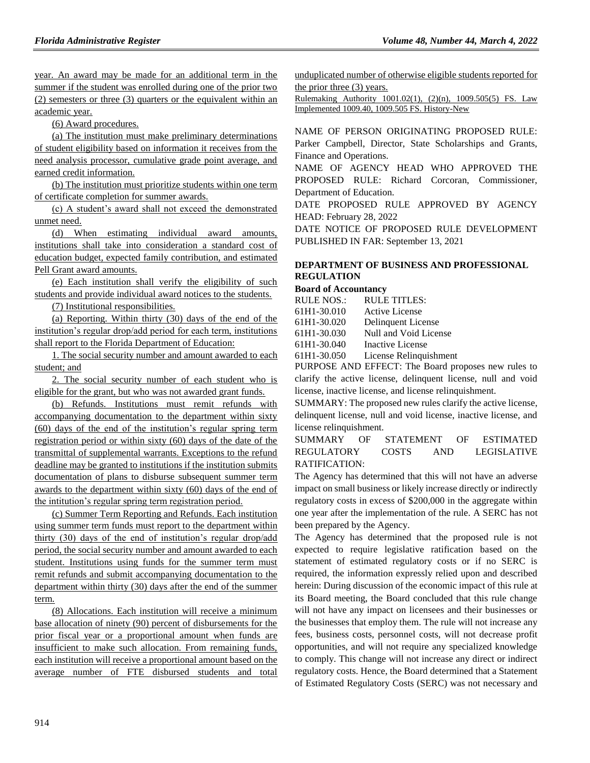year. An award may be made for an additional term in the summer if the student was enrolled during one of the prior two (2) semesters or three (3) quarters or the equivalent within an academic year.

(6) Award procedures.

(a) The institution must make preliminary determinations of student eligibility based on information it receives from the need analysis processor, cumulative grade point average, and earned credit information.

(b) The institution must prioritize students within one term of certificate completion for summer awards.

(c) A student's award shall not exceed the demonstrated unmet need.

(d) When estimating individual award amounts, institutions shall take into consideration a standard cost of education budget, expected family contribution, and estimated Pell Grant award amounts.

(e) Each institution shall verify the eligibility of such students and provide individual award notices to the students.

(7) Institutional responsibilities.

(a) Reporting. Within thirty (30) days of the end of the institution's regular drop/add period for each term, institutions shall report to the Florida Department of Education:

1. The social security number and amount awarded to each student; and

2. The social security number of each student who is eligible for the grant, but who was not awarded grant funds.

(b) Refunds. Institutions must remit refunds with accompanying documentation to the department within sixty (60) days of the end of the institution's regular spring term registration period or within sixty (60) days of the date of the transmittal of supplemental warrants. Exceptions to the refund deadline may be granted to institutions if the institution submits documentation of plans to disburse subsequent summer term awards to the department within sixty (60) days of the end of the intitution's regular spring term registration period.

(c) Summer Term Reporting and Refunds. Each institution using summer term funds must report to the department within thirty (30) days of the end of institution's regular drop/add period, the social security number and amount awarded to each student. Institutions using funds for the summer term must remit refunds and submit accompanying documentation to the department within thirty (30) days after the end of the summer term.

(8) Allocations. Each institution will receive a minimum base allocation of ninety (90) percent of disbursements for the prior fiscal year or a proportional amount when funds are insufficient to make such allocation. From remaining funds, each institution will receive a proportional amount based on the average number of FTE disbursed students and total unduplicated number of otherwise eligible students reported for the prior three (3) years.

Rulemaking Authority 1001.02(1), (2)(n), 1009.505(5) FS. Law Implemented 1009.40, 1009.505 FS. History-New

NAME OF PERSON ORIGINATING PROPOSED RULE: Parker Campbell, Director, State Scholarships and Grants, Finance and Operations.

NAME OF AGENCY HEAD WHO APPROVED THE PROPOSED RULE: Richard Corcoran, Commissioner, Department of Education.

DATE PROPOSED RULE APPROVED BY AGENCY HEAD: February 28, 2022

DATE NOTICE OF PROPOSED RULE DEVELOPMENT PUBLISHED IN FAR: September 13, 2021

# **[DEPARTMENT OF BUSINESS AND PROFESSIONAL](https://www.flrules.org/gateway/department.asp?id=61)  [REGULATION](https://www.flrules.org/gateway/department.asp?id=61)**

#### **[Board of Accountancy](https://www.flrules.org/gateway/organization.asp?id=280)**

| RULE NOS.:  | <b>RULE TITLES:</b>    |
|-------------|------------------------|
| 61H1-30.010 | <b>Active License</b>  |
| 61H1-30.020 | Delinquent License     |
| 61H1-30.030 | Null and Void License  |
| 61H1-30.040 | Inactive License       |
| 61H1-30.050 | License Relinquishment |

PURPOSE AND EFFECT: The Board proposes new rules to clarify the active license, delinquent license, null and void license, inactive license, and license relinquishment.

SUMMARY: The proposed new rules clarify the active license, delinquent license, null and void license, inactive license, and license relinquishment.

SUMMARY OF STATEMENT OF ESTIMATED REGULATORY COSTS AND LEGISLATIVE RATIFICATION:

The Agency has determined that this will not have an adverse impact on small business or likely increase directly or indirectly regulatory costs in excess of \$200,000 in the aggregate within one year after the implementation of the rule. A SERC has not been prepared by the Agency.

The Agency has determined that the proposed rule is not expected to require legislative ratification based on the statement of estimated regulatory costs or if no SERC is required, the information expressly relied upon and described herein: During discussion of the economic impact of this rule at its Board meeting, the Board concluded that this rule change will not have any impact on licensees and their businesses or the businesses that employ them. The rule will not increase any fees, business costs, personnel costs, will not decrease profit opportunities, and will not require any specialized knowledge to comply. This change will not increase any direct or indirect regulatory costs. Hence, the Board determined that a Statement of Estimated Regulatory Costs (SERC) was not necessary and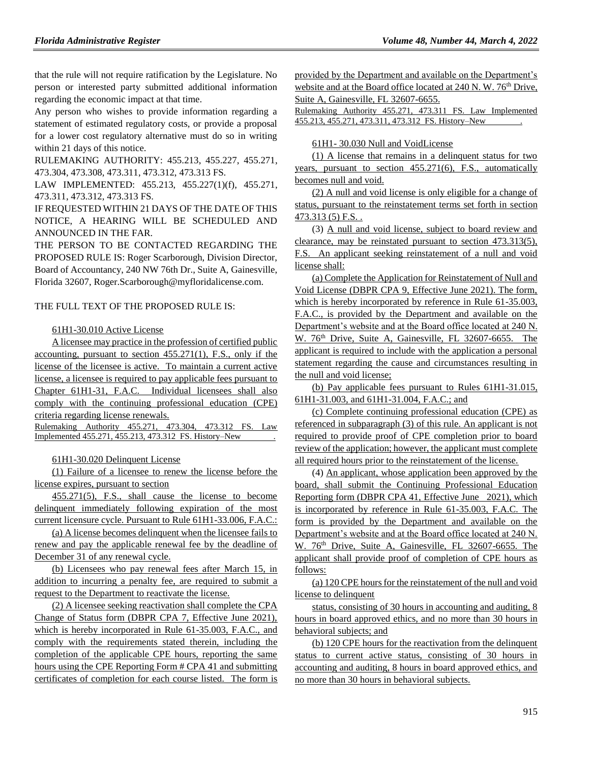that the rule will not require ratification by the Legislature. No person or interested party submitted additional information regarding the economic impact at that time.

Any person who wishes to provide information regarding a statement of estimated regulatory costs, or provide a proposal for a lower cost regulatory alternative must do so in writing within 21 days of this notice.

RULEMAKING AUTHORITY: [455.213,](https://www.flrules.org/gateway/statute.asp?id=455.213) [455.227,](https://www.flrules.org/gateway/statute.asp?id=%20455.227) [455.271,](https://www.flrules.org/gateway/statute.asp?id=%20455.271) [473.304,](https://www.flrules.org/gateway/statute.asp?id=%20473.304) [473.308,](https://www.flrules.org/gateway/statute.asp?id=%20473.308) [473.311,](https://www.flrules.org/gateway/statute.asp?id=%20473.311) [473.312,](https://www.flrules.org/gateway/statute.asp?id=%20473.312) [473.313 FS.](https://www.flrules.org/gateway/statute.asp?id=%20473.313%20FS.)

LAW IMPLEMENTED: [455.213,](https://www.flrules.org/gateway/statute.asp?id=455.213) [455.227\(1\)\(f\),](https://www.flrules.org/gateway/statute.asp?id=%20455.227(1)(f)) [455.271,](https://www.flrules.org/gateway/statute.asp?id=%20455.271) [473.311,](https://www.flrules.org/gateway/statute.asp?id=%20473.311) [473.312,](https://www.flrules.org/gateway/statute.asp?id=%20473.312) [473.313 FS.](https://www.flrules.org/gateway/statute.asp?id=%20473.313%20FS.)

IF REQUESTED WITHIN 21 DAYS OF THE DATE OF THIS NOTICE, A HEARING WILL BE SCHEDULED AND ANNOUNCED IN THE FAR.

THE PERSON TO BE CONTACTED REGARDING THE PROPOSED RULE IS: Roger Scarborough, Division Director, Board of Accountancy, 240 NW 76th Dr., Suite A, Gainesville, Florida 32607, Roger.Scarborough@myfloridalicense.com.

#### THE FULL TEXT OF THE PROPOSED RULE IS:

#### 61H1-30.010 Active License

A licensee may practice in the profession of certified public accounting, pursuant to section 455.271(1), F.S., only if the license of the licensee is active. To maintain a current active license, a licensee is required to pay applicable fees pursuant to Chapter 61H1-31, F.A.C. Individual licensees shall also comply with the continuing professional education (CPE) criteria regarding license renewals.

Rulemaking Authority 455.271, 473.304, 473.312 FS. Law Implemented 455.271, 455.213, 473.312 FS. History–New .

#### 61H1-30.020 Delinquent License

(1) Failure of a licensee to renew the license before the license expires, pursuant to section

455.271(5), F.S., shall cause the license to become delinquent immediately following expiration of the most current licensure cycle. Pursuant to Rule 61H1-33.006, F.A.C.:

(a) A license becomes delinquent when the licensee fails to renew and pay the applicable renewal fee by the deadline of December 31 of any renewal cycle.

(b) Licensees who pay renewal fees after March 15, in addition to incurring a penalty fee, are required to submit a request to the Department to reactivate the license.

(2) A licensee seeking reactivation shall complete the CPA Change of Status form (DBPR CPA 7, Effective June 2021), which is hereby incorporated in Rule 61-35.003, F.A.C., and comply with the requirements stated therein, including the completion of the applicable CPE hours, reporting the same hours using the CPE Reporting Form # CPA 41 and submitting certificates of completion for each course listed. The form is provided by the Department and available on the Department's website and at the Board office located at 240 N. W. 76<sup>th</sup> Drive, Suite A, Gainesville, FL 32607-6655.

Rulemaking Authority 455.271, 473.311 FS. Law Implemented 455.213, 455.271, 473.311, 473.312 FS. History–New .

#### 61H1- 30.030 Null and VoidLicense

(1) A license that remains in a delinquent status for two years, pursuant to section 455.271(6), F.S., automatically becomes null and void.

(2) A null and void license is only eligible for a change of status, pursuant to the reinstatement terms set forth in section 473.313 (5) F.S. .

(3) A null and void license, subject to board review and clearance, may be reinstated pursuant to section 473.313(5), F.S. An applicant seeking reinstatement of a null and void license shall:

(a) Complete the Application for Reinstatement of Null and Void License (DBPR CPA 9, Effective June 2021). The form, which is hereby incorporated by reference in Rule 61-35.003, F.A.C., is provided by the Department and available on the Department's website and at the Board office located at 240 N. W. 76<sup>th</sup> Drive, Suite A, Gainesville, FL 32607-6655. The applicant is required to include with the application a personal statement regarding the cause and circumstances resulting in the null and void license;

(b) Pay applicable fees pursuant to Rules 61H1-31.015, 61H1-31.003, and 61H1-31.004, F.A.C.; and

(c) Complete continuing professional education (CPE) as referenced in subparagraph (3) of this rule. An applicant is not required to provide proof of CPE completion prior to board review of the application; however, the applicant must complete all required hours prior to the reinstatement of the license.

(4) An applicant, whose application been approved by the board, shall submit the Continuing Professional Education Reporting form (DBPR CPA 41, Effective June 2021), which is incorporated by reference in Rule 61-35.003, F.A.C. The form is provided by the Department and available on the Department's website and at the Board office located at 240 N. W. 76<sup>th</sup> Drive, Suite A, Gainesville, FL 32607-6655. The applicant shall provide proof of completion of CPE hours as follows:

(a) 120 CPE hours for the reinstatement of the null and void license to delinquent

status, consisting of 30 hours in accounting and auditing, 8 hours in board approved ethics, and no more than 30 hours in behavioral subjects; and

(b) 120 CPE hours for the reactivation from the delinquent status to current active status, consisting of 30 hours in accounting and auditing, 8 hours in board approved ethics, and no more than 30 hours in behavioral subjects.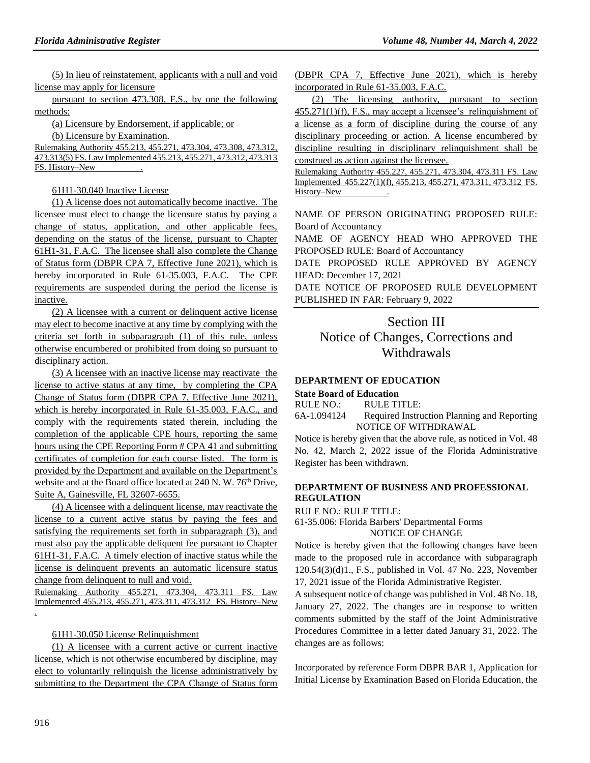(5) In lieu of reinstatement, applicants with a null and void license may apply for licensure

pursuant to section 473.308, F.S., by one the following methods:

(a) Licensure by Endorsement, if applicable; or

(b) Licensure by Examination.

Rulemaking Authority 455.213, 455.271, 473.304, 473.308, 473.312, 473.313(5) FS. Law Implemented 455.213, 455.271, 473.312, 473.313 FS. History–New .

61H1-30.040 Inactive License

(1) A license does not automatically become inactive. The licensee must elect to change the licensure status by paying a change of status, application, and other applicable fees, depending on the status of the license, pursuant to Chapter 61H1-31, F.A.C. The licensee shall also complete the Change of Status form (DBPR CPA 7, Effective June 2021), which is hereby incorporated in Rule 61-35.003, F.A.C. The CPE requirements are suspended during the period the license is inactive.

(2) A licensee with a current or delinquent active license may elect to become inactive at any time by complying with the criteria set forth in subparagraph (1) of this rule, unless otherwise encumbered or prohibited from doing so pursuant to disciplinary action.

(3) A licensee with an inactive license may reactivate the license to active status at any time, by completing the CPA Change of Status form (DBPR CPA 7, Effective June 2021), which is hereby incorporated in Rule 61-35.003, F.A.C., and comply with the requirements stated therein, including the completion of the applicable CPE hours, reporting the same hours using the CPE Reporting Form # CPA 41 and submitting certificates of completion for each course listed. The form is provided by the Department and available on the Department's website and at the Board office located at 240 N. W. 76<sup>th</sup> Drive, Suite A, Gainesville, FL 32607-6655.

(4) A licensee with a delinquent license, may reactivate the license to a current active status by paying the fees and satisfying the requirements set forth in subparagraph (3), and must also pay the applicable deliquent fee pursuant to Chapter 61H1-31, F.A.C. A timely election of inactive status while the license is delinquent prevents an automatic licensure status change from delinquent to null and void.

Rulemaking Authority 455.271, 473.304, 473.311 FS. Law Implemented 455.213, 455.271, 473.311, 473.312 FS. History–New .

### 61H1-30.050 License Relinquishment

(1) A licensee with a current active or current inactive license, which is not otherwise encumbered by discipline, may elect to voluntarily relinquish the license administratively by submitting to the Department the CPA Change of Status form (DBPR CPA 7, Effective June 2021), which is hereby incorporated in Rule 61-35.003, F.A.C.

(2) The licensing authority, pursuant to section 455.271(1)(f), F.S., may accept a licensee's relinquishment of a license as a form of discipline during the course of any disciplinary proceeding or action. A license encumbered by discipline resulting in disciplinary relinquishment shall be construed as action against the licensee.

Rulemaking Authority 455.227, 455.271, 473.304, 473.311 FS. Law Implemented 455.227(1)(f), 455.213, 455.271, 473.311, 473.312 FS. History–New .

NAME OF PERSON ORIGINATING PROPOSED RULE: Board of Accountancy

NAME OF AGENCY HEAD WHO APPROVED THE PROPOSED RULE: Board of Accountancy

DATE PROPOSED RULE APPROVED BY AGENCY HEAD: December 17, 2021

DATE NOTICE OF PROPOSED RULE DEVELOPMENT PUBLISHED IN FAR: February 9, 2022

# Section III

Notice of Changes, Corrections and **Withdrawals** 

### **[DEPARTMENT OF EDUCATION](https://www.flrules.org/gateway/department.asp?id=6)**

#### **[State Board of Education](https://www.flrules.org/gateway/organization.asp?id=195)**

| RULE NO.: | <b>RULE TITLE:</b> |
|-----------|--------------------|
|-----------|--------------------|

[6A-1.094124](https://www.flrules.org/gateway/ruleNo.asp?id=6A-1.094124) Required Instruction Planning and Reporting NOTICE OF WITHDRAWAL

Notice is hereby given that the above rule, as noticed in Vol. 48 No. 42, March 2, 2022 issue of the Florida Administrative Register has been withdrawn.

# **[DEPARTMENT OF BUSINESS AND PROFESSIONAL](https://www.flrules.org/gateway/department.asp?id=61)  [REGULATION](https://www.flrules.org/gateway/department.asp?id=61)**

RULE NO.: RULE TITLE:

[61-35.006:](https://www.flrules.org/gateway/ruleNo.asp?id=61-35.006) Florida Barbers' Departmental Forms NOTICE OF CHANGE

Notice is hereby given that the following changes have been made to the proposed rule in accordance with subparagraph 120.54(3)(d)1., F.S., published in Vol. 47 No. 223, November 17, 2021 issue of the Florida Administrative Register.

A subsequent notice of change was published in Vol. 48 No. 18, January 27, 2022. The changes are in response to written comments submitted by the staff of the Joint Administrative Procedures Committee in a letter dated January 31, 2022. The changes are as follows:

Incorporated by reference Form DBPR BAR 1, Application for Initial License by Examination Based on Florida Education, the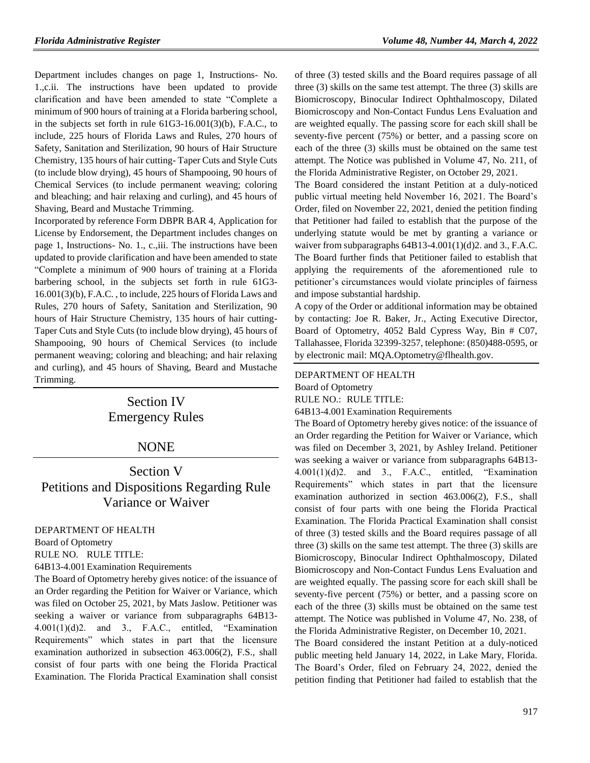Department includes changes on page 1, Instructions- No. 1.,c.ii. The instructions have been updated to provide clarification and have been amended to state "Complete a minimum of 900 hours of training at a Florida barbering school, in the subjects set forth in rule 61G3-16.001(3)(b), F.A.C., to include, 225 hours of Florida Laws and Rules, 270 hours of Safety, Sanitation and Sterilization, 90 hours of Hair Structure Chemistry, 135 hours of hair cutting- Taper Cuts and Style Cuts (to include blow drying), 45 hours of Shampooing, 90 hours of Chemical Services (to include permanent weaving; coloring and bleaching; and hair relaxing and curling), and 45 hours of Shaving, Beard and Mustache Trimming.

Incorporated by reference Form DBPR BAR 4, Application for License by Endorsement, the Department includes changes on page 1, Instructions- No. 1., c.,iii. The instructions have been updated to provide clarification and have been amended to state "Complete a minimum of 900 hours of training at a Florida barbering school, in the subjects set forth in rule 61G3- 16.001(3)(b), F.A.C. , to include, 225 hours of Florida Laws and Rules, 270 hours of Safety, Sanitation and Sterilization, 90 hours of Hair Structure Chemistry, 135 hours of hair cutting-Taper Cuts and Style Cuts (to include blow drying), 45 hours of Shampooing, 90 hours of Chemical Services (to include permanent weaving; coloring and bleaching; and hair relaxing and curling), and 45 hours of Shaving, Beard and Mustache Trimming.

# Section IV Emergency Rules

# NONE

# Section V Petitions and Dispositions Regarding Rule Variance or Waiver

[DEPARTMENT OF HEALTH](https://www.flrules.org/gateway/department.asp?id=64)

[Board of Optometry](https://www.flrules.org/gateway/organization.asp?id=304)

RULE NO. RULE TITLE:

[64B13-4.001E](https://www.flrules.org/gateway/ruleNo.asp?id=64B13-4.001)xamination Requirements

The Board of Optometry hereby gives notice: of the issuance of an Order regarding the Petition for Waiver or Variance, which was filed on October 25, 2021, by Mats Jaslow. Petitioner was seeking a waiver or variance from subparagraphs 64B13-  $4.001(1)(d)2$ . and 3., F.A.C., entitled, "Examination Requirements" which states in part that the licensure examination authorized in subsection 463.006(2), F.S., shall consist of four parts with one being the Florida Practical Examination. The Florida Practical Examination shall consist

of three (3) tested skills and the Board requires passage of all three (3) skills on the same test attempt. The three (3) skills are Biomicroscopy, Binocular Indirect Ophthalmoscopy, Dilated Biomicroscopy and Non-Contact Fundus Lens Evaluation and are weighted equally. The passing score for each skill shall be seventy-five percent (75%) or better, and a passing score on each of the three (3) skills must be obtained on the same test attempt. The Notice was published in Volume 47, No. 211, of the Florida Administrative Register, on October 29, 2021.

The Board considered the instant Petition at a duly-noticed public virtual meeting held November 16, 2021. The Board's Order, filed on November 22, 2021, denied the petition finding that Petitioner had failed to establish that the purpose of the underlying statute would be met by granting a variance or waiver from subparagraphs  $64B13-4.001(1)(d)2$ . and 3., F.A.C. The Board further finds that Petitioner failed to establish that applying the requirements of the aforementioned rule to petitioner's circumstances would violate principles of fairness and impose substantial hardship.

A copy of the Order or additional information may be obtained by contacting: Joe R. Baker, Jr., Acting Executive Director, Board of Optometry, 4052 Bald Cypress Way, Bin # C07, Tallahassee, Florida 32399-3257, telephone: (850)488-0595, or by electronic mail: MQA.Optometry@flhealth.gov.

#### [DEPARTMENT OF HEALTH](https://www.flrules.org/gateway/department.asp?id=64)

[Board of Optometry](https://www.flrules.org/gateway/organization.asp?id=304)

RULE NO.: RULE TITLE:

[64B13-4.001E](https://www.flrules.org/gateway/ruleNo.asp?id=64B13-4.001)xamination Requirements

The Board of Optometry hereby gives notice: of the issuance of an Order regarding the Petition for Waiver or Variance, which was filed on December 3, 2021, by Ashley Ireland. Petitioner was seeking a waiver or variance from subparagraphs 64B13- 4.001(1)(d)2. and 3., F.A.C., entitled, "Examination Requirements" which states in part that the licensure examination authorized in section 463.006(2), F.S., shall consist of four parts with one being the Florida Practical Examination. The Florida Practical Examination shall consist of three (3) tested skills and the Board requires passage of all three (3) skills on the same test attempt. The three (3) skills are Biomicroscopy, Binocular Indirect Ophthalmoscopy, Dilated Biomicroscopy and Non-Contact Fundus Lens Evaluation and are weighted equally. The passing score for each skill shall be seventy-five percent (75%) or better, and a passing score on each of the three (3) skills must be obtained on the same test attempt. The Notice was published in Volume 47, No. 238, of the Florida Administrative Register, on December 10, 2021.

The Board considered the instant Petition at a duly-noticed public meeting held January 14, 2022, in Lake Mary, Florida. The Board's Order, filed on February 24, 2022, denied the petition finding that Petitioner had failed to establish that the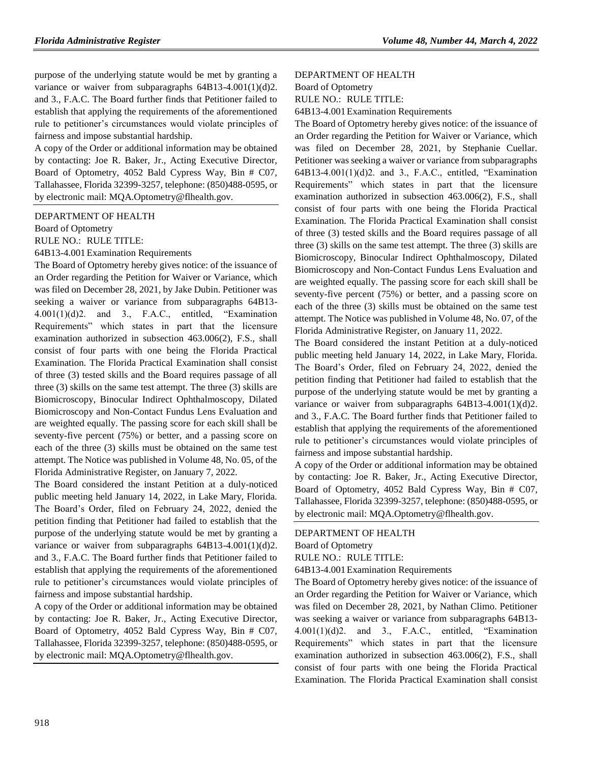purpose of the underlying statute would be met by granting a variance or waiver from subparagraphs  $64B13-4.001(1)(d)2$ . and 3., F.A.C. The Board further finds that Petitioner failed to establish that applying the requirements of the aforementioned rule to petitioner's circumstances would violate principles of fairness and impose substantial hardship.

A copy of the Order or additional information may be obtained by contacting: Joe R. Baker, Jr., Acting Executive Director, Board of Optometry, 4052 Bald Cypress Way, Bin # C07, Tallahassee, Florida 32399-3257, telephone: (850)488-0595, or by electronic mail: MQA.Optometry@flhealth.gov.

#### [DEPARTMENT OF HEALTH](https://www.flrules.org/gateway/department.asp?id=64)

[Board of Optometry](https://www.flrules.org/gateway/organization.asp?id=304)

RULE NO.: RULE TITLE:

[64B13-4.001E](https://www.flrules.org/gateway/ruleNo.asp?id=64B13-4.001)xamination Requirements

The Board of Optometry hereby gives notice: of the issuance of an Order regarding the Petition for Waiver or Variance, which was filed on December 28, 2021, by Jake Dubin. Petitioner was seeking a waiver or variance from subparagraphs 64B13-  $4.001(1)(d)2$ . and 3., F.A.C., entitled, "Examination Requirements" which states in part that the licensure examination authorized in subsection 463.006(2), F.S., shall consist of four parts with one being the Florida Practical Examination. The Florida Practical Examination shall consist of three (3) tested skills and the Board requires passage of all three (3) skills on the same test attempt. The three (3) skills are Biomicroscopy, Binocular Indirect Ophthalmoscopy, Dilated Biomicroscopy and Non-Contact Fundus Lens Evaluation and are weighted equally. The passing score for each skill shall be seventy-five percent (75%) or better, and a passing score on each of the three (3) skills must be obtained on the same test attempt. The Notice was published in Volume 48, No. 05, of the Florida Administrative Register, on January 7, 2022.

The Board considered the instant Petition at a duly-noticed public meeting held January 14, 2022, in Lake Mary, Florida. The Board's Order, filed on February 24, 2022, denied the petition finding that Petitioner had failed to establish that the purpose of the underlying statute would be met by granting a variance or waiver from subparagraphs 64B13-4.001(1)(d)2. and 3., F.A.C. The Board further finds that Petitioner failed to establish that applying the requirements of the aforementioned rule to petitioner's circumstances would violate principles of fairness and impose substantial hardship.

A copy of the Order or additional information may be obtained by contacting: Joe R. Baker, Jr., Acting Executive Director, Board of Optometry, 4052 Bald Cypress Way, Bin # C07, Tallahassee, Florida 32399-3257, telephone: (850)488-0595, or by electronic mail: MQA.Optometry@flhealth.gov.

#### [DEPARTMENT OF HEALTH](https://www.flrules.org/gateway/department.asp?id=64)

[Board of Optometry](https://www.flrules.org/gateway/organization.asp?id=304)

RULE NO.: RULE TITLE:

[64B13-4.001E](https://www.flrules.org/gateway/ruleNo.asp?id=64B13-4.001)xamination Requirements

The Board of Optometry hereby gives notice: of the issuance of an Order regarding the Petition for Waiver or Variance, which was filed on December 28, 2021, by Stephanie Cuellar. Petitioner was seeking a waiver or variance from subparagraphs 64B13-4.001(1)(d)2. and 3., F.A.C., entitled, "Examination Requirements" which states in part that the licensure examination authorized in subsection 463.006(2), F.S., shall consist of four parts with one being the Florida Practical Examination. The Florida Practical Examination shall consist of three (3) tested skills and the Board requires passage of all three (3) skills on the same test attempt. The three (3) skills are Biomicroscopy, Binocular Indirect Ophthalmoscopy, Dilated Biomicroscopy and Non-Contact Fundus Lens Evaluation and are weighted equally. The passing score for each skill shall be seventy-five percent (75%) or better, and a passing score on each of the three (3) skills must be obtained on the same test attempt. The Notice was published in Volume 48, No. 07, of the Florida Administrative Register, on January 11, 2022.

The Board considered the instant Petition at a duly-noticed public meeting held January 14, 2022, in Lake Mary, Florida. The Board's Order, filed on February 24, 2022, denied the petition finding that Petitioner had failed to establish that the purpose of the underlying statute would be met by granting a variance or waiver from subparagraphs 64B13-4.001(1)(d)2. and 3., F.A.C. The Board further finds that Petitioner failed to establish that applying the requirements of the aforementioned rule to petitioner's circumstances would violate principles of fairness and impose substantial hardship.

A copy of the Order or additional information may be obtained by contacting: Joe R. Baker, Jr., Acting Executive Director, Board of Optometry, 4052 Bald Cypress Way, Bin # C07, Tallahassee, Florida 32399-3257, telephone: (850)488-0595, or by electronic mail: [MQA.Optometry@flhealth.gov.](mailto:MQA.Optometry@flhealth.gov)

[DEPARTMENT OF HEALTH](https://www.flrules.org/gateway/department.asp?id=64) [Board of Optometry](https://www.flrules.org/gateway/organization.asp?id=304) RULE NO.: RULE TITLE: [64B13-4.001E](https://www.flrules.org/gateway/ruleNo.asp?id=64B13-4.001)xamination Requirements

The Board of Optometry hereby gives notice: of the issuance of an Order regarding the Petition for Waiver or Variance, which was filed on December 28, 2021, by Nathan Climo. Petitioner was seeking a waiver or variance from subparagraphs 64B13- 4.001(1)(d)2. and 3., F.A.C., entitled, "Examination Requirements" which states in part that the licensure examination authorized in subsection 463.006(2), F.S., shall consist of four parts with one being the Florida Practical Examination. The Florida Practical Examination shall consist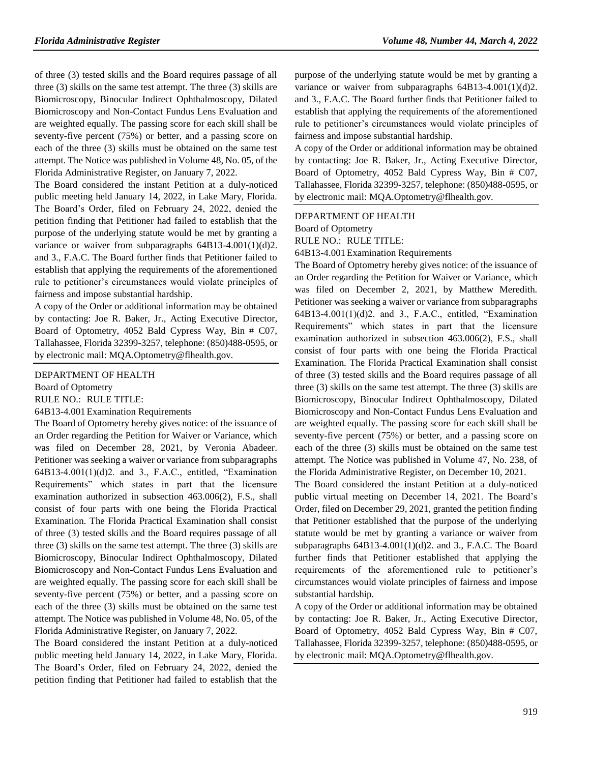of three (3) tested skills and the Board requires passage of all three (3) skills on the same test attempt. The three (3) skills are Biomicroscopy, Binocular Indirect Ophthalmoscopy, Dilated Biomicroscopy and Non-Contact Fundus Lens Evaluation and are weighted equally. The passing score for each skill shall be seventy-five percent (75%) or better, and a passing score on each of the three (3) skills must be obtained on the same test attempt. The Notice was published in Volume 48, No. 05, of the Florida Administrative Register, on January 7, 2022.

The Board considered the instant Petition at a duly-noticed public meeting held January 14, 2022, in Lake Mary, Florida. The Board's Order, filed on February 24, 2022, denied the petition finding that Petitioner had failed to establish that the purpose of the underlying statute would be met by granting a variance or waiver from subparagraphs  $64B13-4.001(1)(d)2$ . and 3., F.A.C. The Board further finds that Petitioner failed to establish that applying the requirements of the aforementioned rule to petitioner's circumstances would violate principles of fairness and impose substantial hardship.

A copy of the Order or additional information may be obtained by contacting: Joe R. Baker, Jr., Acting Executive Director, Board of Optometry, 4052 Bald Cypress Way, Bin # C07, Tallahassee, Florida 32399-3257, telephone: (850)488-0595, or by electronic mail: MQA.Optometry@flhealth.gov.

#### [DEPARTMENT OF HEALTH](https://www.flrules.org/gateway/department.asp?id=64)

[Board of Optometry](https://www.flrules.org/gateway/organization.asp?id=304)

RULE NO.: RULE TITLE:

[64B13-4.001E](https://www.flrules.org/gateway/ruleNo.asp?id=64B13-4.001)xamination Requirements

The Board of Optometry hereby gives notice: of the issuance of an Order regarding the Petition for Waiver or Variance, which was filed on December 28, 2021, by Veronia Abadeer. Petitioner was seeking a waiver or variance from subparagraphs 64B13-4.001(1)(d)2. and 3., F.A.C., entitled, "Examination Requirements" which states in part that the licensure examination authorized in subsection 463.006(2), F.S., shall consist of four parts with one being the Florida Practical Examination. The Florida Practical Examination shall consist of three (3) tested skills and the Board requires passage of all three (3) skills on the same test attempt. The three (3) skills are Biomicroscopy, Binocular Indirect Ophthalmoscopy, Dilated Biomicroscopy and Non-Contact Fundus Lens Evaluation and are weighted equally. The passing score for each skill shall be seventy-five percent (75%) or better, and a passing score on each of the three (3) skills must be obtained on the same test attempt. The Notice was published in Volume 48, No. 05, of the Florida Administrative Register, on January 7, 2022.

The Board considered the instant Petition at a duly-noticed public meeting held January 14, 2022, in Lake Mary, Florida. The Board's Order, filed on February 24, 2022, denied the petition finding that Petitioner had failed to establish that the

purpose of the underlying statute would be met by granting a variance or waiver from subparagraphs 64B13-4.001(1)(d)2. and 3., F.A.C. The Board further finds that Petitioner failed to establish that applying the requirements of the aforementioned rule to petitioner's circumstances would violate principles of fairness and impose substantial hardship.

A copy of the Order or additional information may be obtained by contacting: Joe R. Baker, Jr., Acting Executive Director, Board of Optometry, 4052 Bald Cypress Way, Bin # C07, Tallahassee, Florida 32399-3257, telephone: (850)488-0595, or by electronic mail: MQA.Optometry@flhealth.gov.

#### [DEPARTMENT OF HEALTH](https://www.flrules.org/gateway/department.asp?id=64)

[Board of Optometry](https://www.flrules.org/gateway/organization.asp?id=304)

RULE NO.: RULE TITLE:

[64B13-4.001E](https://www.flrules.org/gateway/ruleNo.asp?id=64B13-4.001)xamination Requirements

The Board of Optometry hereby gives notice: of the issuance of an Order regarding the Petition for Waiver or Variance, which was filed on December 2, 2021, by Matthew Meredith. Petitioner was seeking a waiver or variance from subparagraphs 64B13-4.001(1)(d)2. and 3., F.A.C., entitled, "Examination Requirements" which states in part that the licensure examination authorized in subsection 463.006(2), F.S., shall consist of four parts with one being the Florida Practical Examination. The Florida Practical Examination shall consist of three (3) tested skills and the Board requires passage of all three (3) skills on the same test attempt. The three (3) skills are Biomicroscopy, Binocular Indirect Ophthalmoscopy, Dilated Biomicroscopy and Non-Contact Fundus Lens Evaluation and are weighted equally. The passing score for each skill shall be seventy-five percent (75%) or better, and a passing score on each of the three (3) skills must be obtained on the same test attempt. The Notice was published in Volume 47, No. 238, of the Florida Administrative Register, on December 10, 2021.

The Board considered the instant Petition at a duly-noticed public virtual meeting on December 14, 2021. The Board's Order, filed on December 29, 2021, granted the petition finding that Petitioner established that the purpose of the underlying statute would be met by granting a variance or waiver from subparagraphs  $64B13-4.001(1)(d)2$ . and 3., F.A.C. The Board further finds that Petitioner established that applying the requirements of the aforementioned rule to petitioner's circumstances would violate principles of fairness and impose substantial hardship.

A copy of the Order or additional information may be obtained by contacting: Joe R. Baker, Jr., Acting Executive Director, Board of Optometry, 4052 Bald Cypress Way, Bin # C07, Tallahassee, Florida 32399-3257, telephone: (850)488-0595, or by electronic mail: MQA.Optometry@flhealth.gov.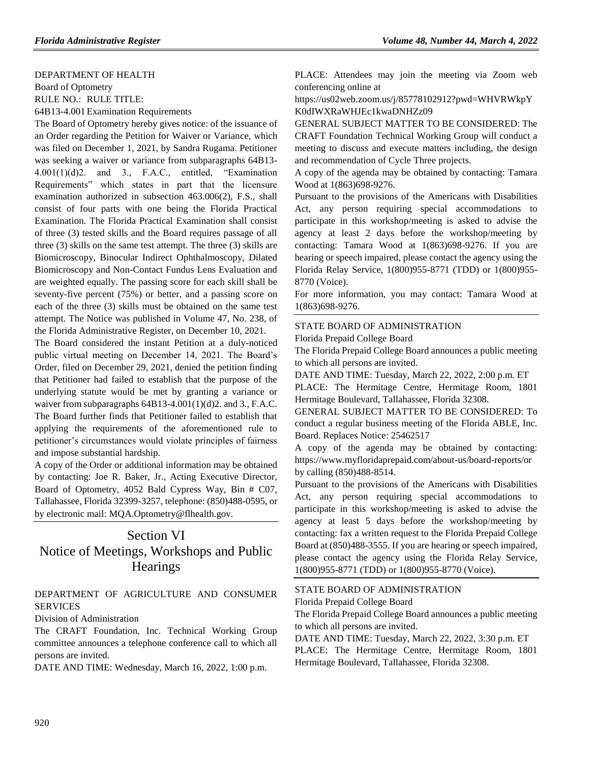#### [DEPARTMENT OF HEALTH](https://www.flrules.org/gateway/department.asp?id=64)

[Board of Optometry](https://www.flrules.org/gateway/organization.asp?id=304) RULE NO.: RULE TITLE:

[64B13-4.001E](https://www.flrules.org/gateway/ruleNo.asp?id=64B13-4.001)xamination Requirements

The Board of Optometry hereby gives notice: of the issuance of an Order regarding the Petition for Waiver or Variance, which was filed on December 1, 2021, by Sandra Rugama. Petitioner was seeking a waiver or variance from subparagraphs 64B13-  $4.001(1)(d)2$ . and 3., F.A.C., entitled, "Examination Requirements" which states in part that the licensure examination authorized in subsection 463.006(2), F.S., shall consist of four parts with one being the Florida Practical Examination. The Florida Practical Examination shall consist of three (3) tested skills and the Board requires passage of all three (3) skills on the same test attempt. The three (3) skills are Biomicroscopy, Binocular Indirect Ophthalmoscopy, Dilated Biomicroscopy and Non-Contact Fundus Lens Evaluation and are weighted equally. The passing score for each skill shall be seventy-five percent (75%) or better, and a passing score on each of the three (3) skills must be obtained on the same test attempt. The Notice was published in Volume 47, No. 238, of the Florida Administrative Register, on December 10, 2021.

The Board considered the instant Petition at a duly-noticed public virtual meeting on December 14, 2021. The Board's Order, filed on December 29, 2021, denied the petition finding that Petitioner had failed to establish that the purpose of the underlying statute would be met by granting a variance or waiver from subparagraphs  $64B13-4.001(1)(d)2$ . and 3., F.A.C. The Board further finds that Petitioner failed to establish that applying the requirements of the aforementioned rule to petitioner's circumstances would violate principles of fairness and impose substantial hardship.

A copy of the Order or additional information may be obtained by contacting: Joe R. Baker, Jr., Acting Executive Director, Board of Optometry, 4052 Bald Cypress Way, Bin # C07, Tallahassee, Florida 32399-3257, telephone: (850)488-0595, or by electronic mail: MQA.Optometry@flhealth.gov.

# Section VI Notice of Meetings, Workshops and Public **Hearings**

# [DEPARTMENT OF AGRICULTURE AND CONSUMER](https://www.flrules.org/gateway/department.asp?id=5)  **[SERVICES](https://www.flrules.org/gateway/department.asp?id=5)**

[Division of Administration](https://www.flrules.org/gateway/organization.asp?id=161)

The CRAFT Foundation, Inc. Technical Working Group committee announces a telephone conference call to which all persons are invited.

DATE AND TIME: Wednesday, March 16, 2022, 1:00 p.m.

PLACE: Attendees may join the meeting via Zoom web conferencing online at

https://us02web.zoom.us/j/85778102912?pwd=WHVRWkpY K0dIWXRaWHJEc1kwaDNHZz09

GENERAL SUBJECT MATTER TO BE CONSIDERED: The CRAFT Foundation Technical Working Group will conduct a meeting to discuss and execute matters including, the design and recommendation of Cycle Three projects.

A copy of the agenda may be obtained by contacting: Tamara Wood at 1(863)698-9276.

Pursuant to the provisions of the Americans with Disabilities Act, any person requiring special accommodations to participate in this workshop/meeting is asked to advise the agency at least 2 days before the workshop/meeting by contacting: Tamara Wood at 1(863)698-9276. If you are hearing or speech impaired, please contact the agency using the Florida Relay Service, 1(800)955-8771 (TDD) or 1(800)955- 8770 (Voice).

For more information, you may contact: Tamara Wood at 1(863)698-9276.

### [STATE BOARD OF ADMINISTRATION](https://www.flrules.org/gateway/department.asp?id=19)

[Florida Prepaid College Board](https://www.flrules.org/gateway/organization.asp?id=47)

The Florida Prepaid College Board announces a public meeting to which all persons are invited.

DATE AND TIME: Tuesday, March 22, 2022, 2:00 p.m. ET

PLACE: The Hermitage Centre, Hermitage Room, 1801 Hermitage Boulevard, Tallahassee, Florida 32308.

GENERAL SUBJECT MATTER TO BE CONSIDERED: To conduct a regular business meeting of the Florida ABLE, Inc. Board. Replaces Notice: 25462517

A copy of the agenda may be obtained by contacting: https://www.myfloridaprepaid.com/about-us/board-reports/or by calling (850)488-8514.

Pursuant to the provisions of the Americans with Disabilities Act, any person requiring special accommodations to participate in this workshop/meeting is asked to advise the agency at least 5 days before the workshop/meeting by contacting: fax a written request to the Florida Prepaid College Board at (850)488-3555. If you are hearing or speech impaired, please contact the agency using the Florida Relay Service, 1(800)955-8771 (TDD) or 1(800)955-8770 (Voice).

#### [STATE BOARD OF ADMINISTRATION](https://www.flrules.org/gateway/department.asp?id=19)

[Florida Prepaid College Board](https://www.flrules.org/gateway/organization.asp?id=47)

The Florida Prepaid College Board announces a public meeting to which all persons are invited.

DATE AND TIME: Tuesday, March 22, 2022, 3:30 p.m. ET PLACE: The Hermitage Centre, Hermitage Room, 1801 Hermitage Boulevard, Tallahassee, Florida 32308.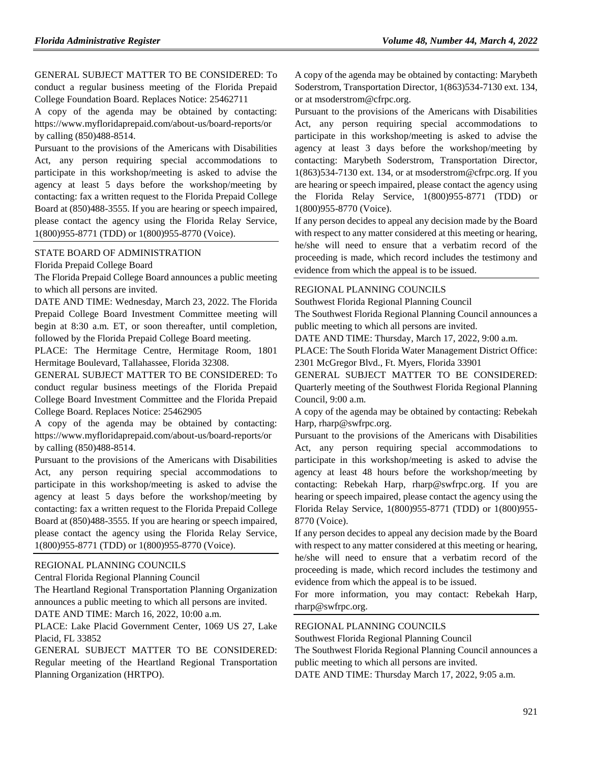GENERAL SUBJECT MATTER TO BE CONSIDERED: To conduct a regular business meeting of the Florida Prepaid College Foundation Board. Replaces Notice: 25462711

A copy of the agenda may be obtained by contacting: https://www.myfloridaprepaid.com/about-us/board-reports/or by calling (850)488-8514.

Pursuant to the provisions of the Americans with Disabilities Act, any person requiring special accommodations to participate in this workshop/meeting is asked to advise the agency at least 5 days before the workshop/meeting by contacting: fax a written request to the Florida Prepaid College Board at (850)488-3555. If you are hearing or speech impaired, please contact the agency using the Florida Relay Service, 1(800)955-8771 (TDD) or 1(800)955-8770 (Voice).

#### [STATE BOARD OF ADMINISTRATION](https://www.flrules.org/gateway/department.asp?id=19)

[Florida Prepaid College Board](https://www.flrules.org/gateway/organization.asp?id=47)

The Florida Prepaid College Board announces a public meeting to which all persons are invited.

DATE AND TIME: Wednesday, March 23, 2022. The Florida Prepaid College Board Investment Committee meeting will begin at 8:30 a.m. ET, or soon thereafter, until completion, followed by the Florida Prepaid College Board meeting.

PLACE: The Hermitage Centre, Hermitage Room, 1801 Hermitage Boulevard, Tallahassee, Florida 32308.

GENERAL SUBJECT MATTER TO BE CONSIDERED: To conduct regular business meetings of the Florida Prepaid College Board Investment Committee and the Florida Prepaid College Board. Replaces Notice: 25462905

A copy of the agenda may be obtained by contacting: https://www.myfloridaprepaid.com/about-us/board-reports/or by calling (850)488-8514.

Pursuant to the provisions of the Americans with Disabilities Act, any person requiring special accommodations to participate in this workshop/meeting is asked to advise the agency at least 5 days before the workshop/meeting by contacting: fax a written request to the Florida Prepaid College Board at (850)488-3555. If you are hearing or speech impaired, please contact the agency using the Florida Relay Service, 1(800)955-8771 (TDD) or 1(800)955-8770 (Voice).

#### [REGIONAL PLANNING COUNCILS](https://www.flrules.org/gateway/department.asp?id=29)

[Central Florida Regional Planning Council](https://www.flrules.org/gateway/organization.asp?id=63)

The Heartland Regional Transportation Planning Organization announces a public meeting to which all persons are invited. DATE AND TIME: March 16, 2022, 10:00 a.m.

PLACE: Lake Placid Government Center, 1069 US 27, Lake Placid, FL 33852

GENERAL SUBJECT MATTER TO BE CONSIDERED: Regular meeting of the Heartland Regional Transportation Planning Organization (HRTPO).

A copy of the agenda may be obtained by contacting: Marybeth Soderstrom, Transportation Director, 1(863)534-7130 ext. 134, or at msoderstrom@cfrpc.org.

Pursuant to the provisions of the Americans with Disabilities Act, any person requiring special accommodations to participate in this workshop/meeting is asked to advise the agency at least 3 days before the workshop/meeting by contacting: Marybeth Soderstrom, Transportation Director, 1(863)534-7130 ext. 134, or at msoderstrom@cfrpc.org. If you are hearing or speech impaired, please contact the agency using the Florida Relay Service, 1(800)955-8771 (TDD) or 1(800)955-8770 (Voice).

If any person decides to appeal any decision made by the Board with respect to any matter considered at this meeting or hearing, he/she will need to ensure that a verbatim record of the proceeding is made, which record includes the testimony and evidence from which the appeal is to be issued.

#### [REGIONAL PLANNING COUNCILS](https://www.flrules.org/gateway/department.asp?id=29)

[Southwest Florida Regional Planning Council](https://www.flrules.org/gateway/organization.asp?id=65)

The Southwest Florida Regional Planning Council announces a public meeting to which all persons are invited.

DATE AND TIME: Thursday, March 17, 2022, 9:00 a.m.

PLACE: The South Florida Water Management District Office: 2301 McGregor Blvd., Ft. Myers, Florida 33901

GENERAL SUBJECT MATTER TO BE CONSIDERED: Quarterly meeting of the Southwest Florida Regional Planning Council, 9:00 a.m.

A copy of the agenda may be obtained by contacting: Rebekah Harp, rharp@swfrpc.org.

Pursuant to the provisions of the Americans with Disabilities Act, any person requiring special accommodations to participate in this workshop/meeting is asked to advise the agency at least 48 hours before the workshop/meeting by contacting: Rebekah Harp, rharp@swfrpc.org. If you are hearing or speech impaired, please contact the agency using the Florida Relay Service, 1(800)955-8771 (TDD) or 1(800)955- 8770 (Voice).

If any person decides to appeal any decision made by the Board with respect to any matter considered at this meeting or hearing, he/she will need to ensure that a verbatim record of the proceeding is made, which record includes the testimony and evidence from which the appeal is to be issued.

For more information, you may contact: Rebekah Harp, rharp@swfrpc.org.

#### [REGIONAL PLANNING COUNCILS](https://www.flrules.org/gateway/department.asp?id=29)

[Southwest Florida Regional Planning Council](https://www.flrules.org/gateway/organization.asp?id=65)

The Southwest Florida Regional Planning Council announces a public meeting to which all persons are invited.

DATE AND TIME: Thursday March 17, 2022, 9:05 a.m.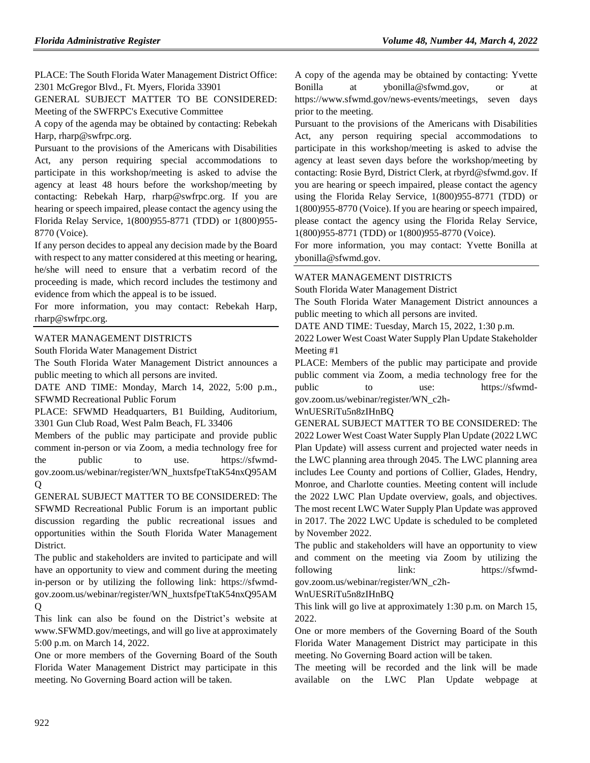PLACE: The South Florida Water Management District Office: 2301 McGregor Blvd., Ft. Myers, Florida 33901

GENERAL SUBJECT MATTER TO BE CONSIDERED: Meeting of the SWFRPC's Executive Committee

A copy of the agenda may be obtained by contacting: Rebekah Harp, rharp@swfrpc.org.

Pursuant to the provisions of the Americans with Disabilities Act, any person requiring special accommodations to participate in this workshop/meeting is asked to advise the agency at least 48 hours before the workshop/meeting by contacting: Rebekah Harp, rharp@swfrpc.org. If you are hearing or speech impaired, please contact the agency using the Florida Relay Service, 1(800)955-8771 (TDD) or 1(800)955- 8770 (Voice).

If any person decides to appeal any decision made by the Board with respect to any matter considered at this meeting or hearing, he/she will need to ensure that a verbatim record of the proceeding is made, which record includes the testimony and evidence from which the appeal is to be issued.

For more information, you may contact: Rebekah Harp, rharp@swfrpc.org.

### [WATER MANAGEMENT DISTRICTS](https://www.flrules.org/gateway/department.asp?id=40)

[South Florida Water Management District](https://www.flrules.org/gateway/organization.asp?id=124)

The South Florida Water Management District announces a public meeting to which all persons are invited.

DATE AND TIME: Monday, March 14, 2022, 5:00 p.m., SFWMD Recreational Public Forum

PLACE: SFWMD Headquarters, B1 Building, Auditorium, 3301 Gun Club Road, West Palm Beach, FL 33406

Members of the public may participate and provide public comment in-person or via Zoom, a media technology free for the public to use. https://sfwmdgov.zoom.us/webinar/register/WN\_huxtsfpeTtaK54nxQ95AM  $\Omega$ 

GENERAL SUBJECT MATTER TO BE CONSIDERED: The SFWMD Recreational Public Forum is an important public discussion regarding the public recreational issues and opportunities within the South Florida Water Management District.

The public and stakeholders are invited to participate and will have an opportunity to view and comment during the meeting in-person or by utilizing the following link: https://sfwmdgov.zoom.us/webinar/register/WN\_huxtsfpeTtaK54nxQ95AM Q

This link can also be found on the District's website at www.SFWMD.gov/meetings, and will go live at approximately 5:00 p.m. on March 14, 2022.

One or more members of the Governing Board of the South Florida Water Management District may participate in this meeting. No Governing Board action will be taken.

A copy of the agenda may be obtained by contacting: Yvette Bonilla at ybonilla@sfwmd.gov, or at https://www.sfwmd.gov/news-events/meetings, seven days prior to the meeting.

Pursuant to the provisions of the Americans with Disabilities Act, any person requiring special accommodations to participate in this workshop/meeting is asked to advise the agency at least seven days before the workshop/meeting by contacting: Rosie Byrd, District Clerk, at rbyrd@sfwmd.gov. If you are hearing or speech impaired, please contact the agency using the Florida Relay Service, 1(800)955-8771 (TDD) or 1(800)955-8770 (Voice). If you are hearing or speech impaired, please contact the agency using the Florida Relay Service, 1(800)955-8771 (TDD) or 1(800)955-8770 (Voice).

For more information, you may contact: Yvette Bonilla at ybonilla@sfwmd.gov.

### [WATER MANAGEMENT DISTRICTS](https://www.flrules.org/gateway/department.asp?id=40)

[South Florida Water Management District](https://www.flrules.org/gateway/organization.asp?id=124)

The South Florida Water Management District announces a public meeting to which all persons are invited.

DATE AND TIME: Tuesday, March 15, 2022, 1:30 p.m.

2022 Lower West Coast Water Supply Plan Update Stakeholder Meeting #1

PLACE: Members of the public may participate and provide public comment via Zoom, a media technology free for the public to use: https://sfwmd-

gov.zoom.us/webinar/register/WN\_c2h-

### WnUESRiTu5n8zIHnBQ

GENERAL SUBJECT MATTER TO BE CONSIDERED: The 2022 Lower West Coast Water Supply Plan Update (2022 LWC Plan Update) will assess current and projected water needs in the LWC planning area through 2045. The LWC planning area includes Lee County and portions of Collier, Glades, Hendry, Monroe, and Charlotte counties. Meeting content will include the 2022 LWC Plan Update overview, goals, and objectives. The most recent LWC Water Supply Plan Update was approved in 2017. The 2022 LWC Update is scheduled to be completed by November 2022.

The public and stakeholders will have an opportunity to view and comment on the meeting via Zoom by utilizing the following link: https://sfwmd-

gov.zoom.us/webinar/register/WN\_c2h-

### WnUESRiTu5n8zIHnBQ

This link will go live at approximately 1:30 p.m. on March 15, 2022.

One or more members of the Governing Board of the South Florida Water Management District may participate in this meeting. No Governing Board action will be taken.

The meeting will be recorded and the link will be made available on the LWC Plan Update webpage at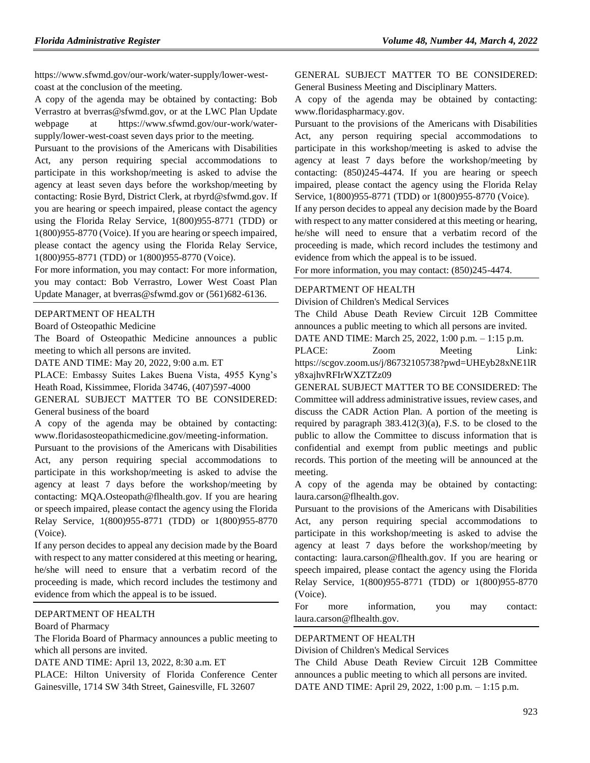https://www.sfwmd.gov/our-work/water-supply/lower-westcoast at the conclusion of the meeting.

A copy of the agenda may be obtained by contacting: Bob Verrastro at bverras@sfwmd.gov, or at the LWC Plan Update webpage at https://www.sfwmd.gov/our-work/watersupply/lower-west-coast seven days prior to the meeting.

Pursuant to the provisions of the Americans with Disabilities Act, any person requiring special accommodations to participate in this workshop/meeting is asked to advise the agency at least seven days before the workshop/meeting by contacting: Rosie Byrd, District Clerk, at rbyrd@sfwmd.gov. If you are hearing or speech impaired, please contact the agency using the Florida Relay Service, 1(800)955-8771 (TDD) or 1(800)955-8770 (Voice). If you are hearing or speech impaired, please contact the agency using the Florida Relay Service, 1(800)955-8771 (TDD) or 1(800)955-8770 (Voice).

For more information, you may contact: For more information, you may contact: Bob Verrastro, Lower West Coast Plan Update Manager, at bverras@sfwmd.gov or (561)682-6136.

#### [DEPARTMENT OF HEALTH](https://www.flrules.org/gateway/department.asp?id=64)

[Board of Osteopathic Medicine](https://www.flrules.org/gateway/organization.asp?id=306)

The Board of Osteopathic Medicine announces a public meeting to which all persons are invited.

DATE AND TIME: May 20, 2022, 9:00 a.m. ET

PLACE: Embassy Suites Lakes Buena Vista, 4955 Kyng's Heath Road, Kissimmee, Florida 34746, (407)597-4000

GENERAL SUBJECT MATTER TO BE CONSIDERED: General business of the board

A copy of the agenda may be obtained by contacting: www.floridasosteopathicmedicine.gov/meeting-information.

Pursuant to the provisions of the Americans with Disabilities Act, any person requiring special accommodations to participate in this workshop/meeting is asked to advise the agency at least 7 days before the workshop/meeting by contacting: MQA.Osteopath@flhealth.gov. If you are hearing or speech impaired, please contact the agency using the Florida Relay Service, 1(800)955-8771 (TDD) or 1(800)955-8770 (Voice).

If any person decides to appeal any decision made by the Board with respect to any matter considered at this meeting or hearing, he/she will need to ensure that a verbatim record of the proceeding is made, which record includes the testimony and evidence from which the appeal is to be issued.

### [DEPARTMENT OF HEALTH](https://www.flrules.org/gateway/department.asp?id=64)

#### [Board of Pharmacy](https://www.flrules.org/gateway/organization.asp?id=307)

The Florida Board of Pharmacy announces a public meeting to which all persons are invited.

DATE AND TIME: April 13, 2022, 8:30 a.m. ET

PLACE: Hilton University of Florida Conference Center Gainesville, 1714 SW 34th Street, Gainesville, FL 32607

GENERAL SUBJECT MATTER TO BE CONSIDERED: General Business Meeting and Disciplinary Matters.

A copy of the agenda may be obtained by contacting: www.floridaspharmacy.gov.

Pursuant to the provisions of the Americans with Disabilities Act, any person requiring special accommodations to participate in this workshop/meeting is asked to advise the agency at least 7 days before the workshop/meeting by contacting: (850)245-4474. If you are hearing or speech impaired, please contact the agency using the Florida Relay Service, 1(800)955-8771 (TDD) or 1(800)955-8770 (Voice). If any person decides to appeal any decision made by the Board with respect to any matter considered at this meeting or hearing, he/she will need to ensure that a verbatim record of the proceeding is made, which record includes the testimony and evidence from which the appeal is to be issued.

For more information, you may contact: (850)245-4474.

#### [DEPARTMENT OF HEALTH](https://www.flrules.org/gateway/department.asp?id=64)

[Division of Children's Medical Services](https://www.flrules.org/gateway/organization.asp?id=333)

The Child Abuse Death Review Circuit 12B Committee announces a public meeting to which all persons are invited.

DATE AND TIME: March 25, 2022, 1:00 p.m. – 1:15 p.m.

PLACE: Zoom Meeting Link: https://scgov.zoom.us/j/86732105738?pwd=UHEyb28xNE1lR y8xajhvRFIrWXZTZz09

GENERAL SUBJECT MATTER TO BE CONSIDERED: The Committee will address administrative issues, review cases, and discuss the CADR Action Plan. A portion of the meeting is required by paragraph 383.412(3)(a), F.S. to be closed to the public to allow the Committee to discuss information that is confidential and exempt from public meetings and public records. This portion of the meeting will be announced at the meeting.

A copy of the agenda may be obtained by contacting: laura.carson@flhealth.gov.

Pursuant to the provisions of the Americans with Disabilities Act, any person requiring special accommodations to participate in this workshop/meeting is asked to advise the agency at least 7 days before the workshop/meeting by contacting: laura.carson@flhealth.gov. If you are hearing or speech impaired, please contact the agency using the Florida Relay Service, 1(800)955-8771 (TDD) or 1(800)955-8770 (Voice).

For more information, you may contact: laura.carson@flhealth.gov.

#### [DEPARTMENT OF HEALTH](https://www.flrules.org/gateway/department.asp?id=64)

[Division of Children's Medical Services](https://www.flrules.org/gateway/organization.asp?id=333)

The Child Abuse Death Review Circuit 12B Committee announces a public meeting to which all persons are invited. DATE AND TIME: April 29, 2022, 1:00 p.m. – 1:15 p.m.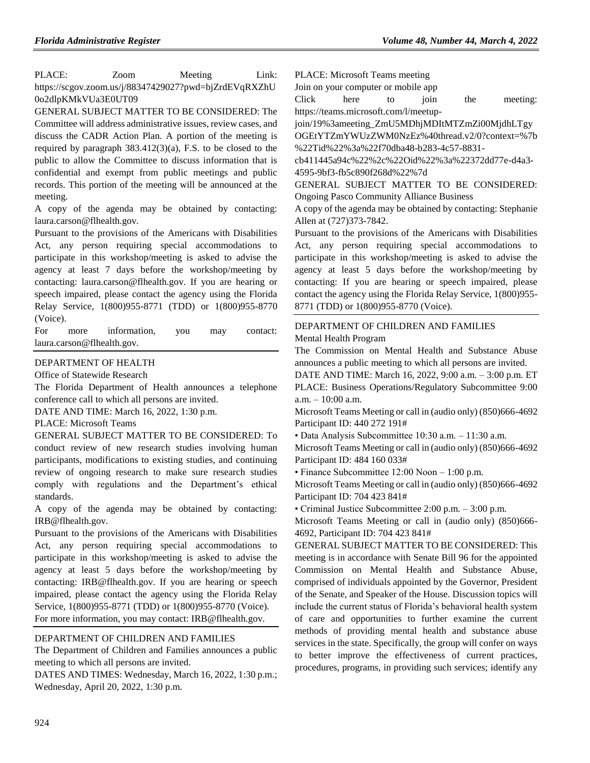PLACE: Zoom Meeting Link: https://scgov.zoom.us/j/88347429027?pwd=bjZrdEVqRXZhU 0o2dlpKMkVUa3E0UT09

GENERAL SUBJECT MATTER TO BE CONSIDERED: The Committee will address administrative issues, review cases, and discuss the CADR Action Plan. A portion of the meeting is required by paragraph 383.412(3)(a), F.S. to be closed to the public to allow the Committee to discuss information that is confidential and exempt from public meetings and public records. This portion of the meeting will be announced at the meeting.

A copy of the agenda may be obtained by contacting: laura.carson@flhealth.gov.

Pursuant to the provisions of the Americans with Disabilities Act, any person requiring special accommodations to participate in this workshop/meeting is asked to advise the agency at least 7 days before the workshop/meeting by contacting: laura.carson@flhealth.gov. If you are hearing or speech impaired, please contact the agency using the Florida Relay Service, 1(800)955-8771 (TDD) or 1(800)955-8770 (Voice).

For more information, you may contact: laura.carson@flhealth.gov.

#### [DEPARTMENT OF HEALTH](https://www.flrules.org/gateway/department.asp?id=64)

[Office of Statewide Research](https://www.flrules.org/gateway/organization.asp?id=338)

The Florida Department of Health announces a telephone conference call to which all persons are invited.

DATE AND TIME: March 16, 2022, 1:30 p.m.

PLACE: Microsoft Teams

GENERAL SUBJECT MATTER TO BE CONSIDERED: To conduct review of new research studies involving human participants, modifications to existing studies, and continuing review of ongoing research to make sure research studies comply with regulations and the Department's ethical standards.

A copy of the agenda may be obtained by contacting: IRB@flhealth.gov.

Pursuant to the provisions of the Americans with Disabilities Act, any person requiring special accommodations to participate in this workshop/meeting is asked to advise the agency at least 5 days before the workshop/meeting by contacting: IRB@flhealth.gov. If you are hearing or speech impaired, please contact the agency using the Florida Relay Service, 1(800)955-8771 (TDD) or 1(800)955-8770 (Voice). For more information, you may contact: IRB@flhealth.gov.

### [DEPARTMENT OF CHILDREN AND FAMILIES](https://www.flrules.org/gateway/department.asp?id=65)

The Department of Children and Families announces a public meeting to which all persons are invited.

DATES AND TIMES: Wednesday, March 16, 2022, 1:30 p.m.; Wednesday, April 20, 2022, 1:30 p.m.

PLACE: Microsoft Teams meeting

Join on your computer or mobile app

Click here to join the meeting: https://teams.microsoft.com/l/meetup-

join/19%3ameeting\_ZmU5MDhjMDItMTZmZi00MjdhLTgy OGEtYTZmYWUzZWM0NzEz%40thread.v2/0?context=%7b %22Tid%22%3a%22f70dba48-b283-4c57-8831-

cb411445a94c%22%2c%22Oid%22%3a%22372dd77e-d4a3- 4595-9bf3-fb5c890f268d%22%7d

GENERAL SUBJECT MATTER TO BE CONSIDERED: Ongoing Pasco Community Alliance Business

A copy of the agenda may be obtained by contacting: Stephanie Allen at (727)373-7842.

Pursuant to the provisions of the Americans with Disabilities Act, any person requiring special accommodations to participate in this workshop/meeting is asked to advise the agency at least 5 days before the workshop/meeting by contacting: If you are hearing or speech impaired, please contact the agency using the Florida Relay Service, 1(800)955- 8771 (TDD) or 1(800)955-8770 (Voice).

# [DEPARTMENT OF CHILDREN AND](https://www.flrules.org/gateway/department.asp?id=65) FAMILIES [Mental Health Program](https://www.flrules.org/gateway/organization.asp?id=344)

The Commission on Mental Health and Substance Abuse announces a public meeting to which all persons are invited.

DATE AND TIME: March 16, 2022, 9:00 a.m. – 3:00 p.m. ET PLACE: Business Operations/Regulatory Subcommittee 9:00 a.m. – 10:00 a.m.

Microsoft Teams Meeting or call in (audio only) (850)666-4692 Participant ID: 440 272 191#

• Data Analysis Subcommittee 10:30 a.m. – 11:30 a.m.

Microsoft Teams Meeting or call in (audio only) (850)666-4692 Participant ID: 484 160 033#

• Finance Subcommittee 12:00 Noon – 1:00 p.m.

Microsoft Teams Meeting or call in (audio only) (850)666-4692 Participant ID: 704 423 841#

• Criminal Justice Subcommittee 2:00 p.m. – 3:00 p.m.

Microsoft Teams Meeting or call in (audio only) (850)666- 4692, Participant ID: 704 423 841#

GENERAL SUBJECT MATTER TO BE CONSIDERED: This meeting is in accordance with Senate Bill 96 for the appointed Commission on Mental Health and Substance Abuse, comprised of individuals appointed by the Governor, President of the Senate, and Speaker of the House. Discussion topics will include the current status of Florida's behavioral health system of care and opportunities to further examine the current methods of providing mental health and substance abuse services in the state. Specifically, the group will confer on ways to better improve the effectiveness of current practices, procedures, programs, in providing such services; identify any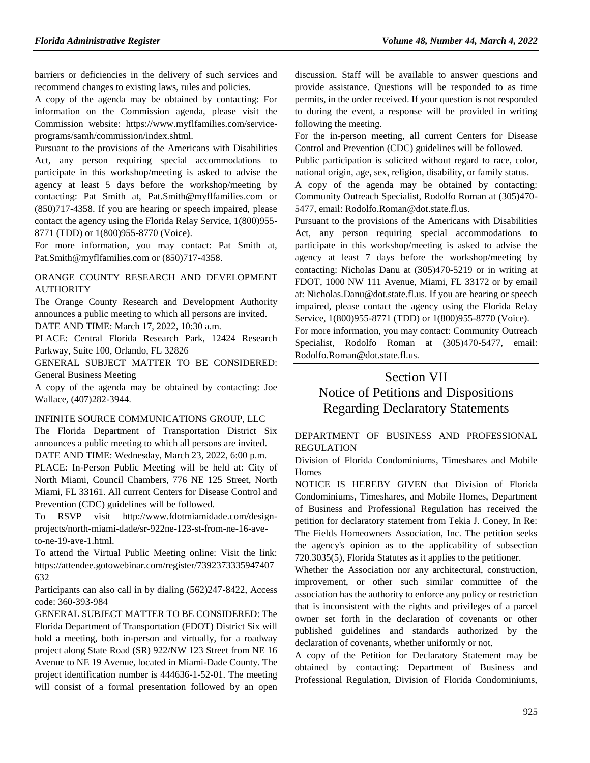barriers or deficiencies in the delivery of such services and recommend changes to existing laws, rules and policies.

A copy of the agenda may be obtained by contacting: For information on the Commission agenda, please visit the Commission website: https://www.myflfamilies.com/serviceprograms/samh/commission/index.shtml.

Pursuant to the provisions of the Americans with Disabilities Act, any person requiring special accommodations to participate in this workshop/meeting is asked to advise the agency at least 5 days before the workshop/meeting by contacting: Pat Smith at, Pat.Smith@myflfamilies.com or (850)717-4358. If you are hearing or speech impaired, please contact the agency using the Florida Relay Service, 1(800)955- 8771 (TDD) or 1(800)955-8770 (Voice).

For more information, you may contact: Pat Smith at, Pat.Smith@myflfamilies.com or (850)717-4358.

# [ORANGE COUNTY RESEARCH AND DEVELOPMENT](https://www.flrules.org/gateway/organization.asp?id=582)  [AUTHORITY](https://www.flrules.org/gateway/organization.asp?id=582)

The Orange County Research and Development Authority announces a public meeting to which all persons are invited. DATE AND TIME: March 17, 2022, 10:30 a.m.

PLACE: Central Florida Research Park, 12424 Research Parkway, Suite 100, Orlando, FL 32826

GENERAL SUBJECT MATTER TO BE CONSIDERED: General Business Meeting

A copy of the agenda may be obtained by contacting: Joe Wallace, (407)282-3944.

[INFINITE SOURCE COMMUNICATIONS GROUP, LLC](https://www.flrules.org/gateway/organization.asp?id=1035)

The Florida Department of Transportation District Six announces a public meeting to which all persons are invited. DATE AND TIME: Wednesday, March 23, 2022, 6:00 p.m. PLACE: In-Person Public Meeting will be held at: City of North Miami, Council Chambers, 776 NE 125 Street, North Miami, FL 33161. All current Centers for Disease Control and Prevention (CDC) guidelines will be followed.

RSVP visit http://www.fdotmiamidade.com/designprojects/north-miami-dade/sr-922ne-123-st-from-ne-16-aveto-ne-19-ave-1.html.

To attend the Virtual Public Meeting online: Visit the link: https://attendee.gotowebinar.com/register/7392373335947407 632

Participants can also call in by dialing (562)247-8422, Access code: 360-393-984

GENERAL SUBJECT MATTER TO BE CONSIDERED: The Florida Department of Transportation (FDOT) District Six will hold a meeting, both in-person and virtually, for a roadway project along State Road (SR) 922/NW 123 Street from NE 16 Avenue to NE 19 Avenue, located in Miami-Dade County. The project identification number is 444636-1-52-01. The meeting will consist of a formal presentation followed by an open discussion. Staff will be available to answer questions and provide assistance. Questions will be responded to as time permits, in the order received. If your question is not responded to during the event, a response will be provided in writing following the meeting.

For the in-person meeting, all current Centers for Disease Control and Prevention (CDC) guidelines will be followed.

Public participation is solicited without regard to race, color, national origin, age, sex, religion, disability, or family status.

A copy of the agenda may be obtained by contacting: Community Outreach Specialist, Rodolfo Roman at (305)470- 5477, email: Rodolfo.Roman@dot.state.fl.us.

Pursuant to the provisions of the Americans with Disabilities Act, any person requiring special accommodations to participate in this workshop/meeting is asked to advise the agency at least 7 days before the workshop/meeting by contacting: Nicholas Danu at (305)470-5219 or in writing at FDOT, 1000 NW 111 Avenue, Miami, FL 33172 or by email at: Nicholas.Danu@dot.state.fl.us. If you are hearing or speech impaired, please contact the agency using the Florida Relay Service, 1(800)955-8771 (TDD) or 1(800)955-8770 (Voice).

For more information, you may contact: Community Outreach Specialist, Rodolfo Roman at (305)470-5477, email: Rodolfo.Roman@dot.state.fl.us.

# Section VII

# Notice of Petitions and Dispositions Regarding Declaratory Statements

# [DEPARTMENT OF BUSINESS AND PROFESSIONAL](https://www.flrules.org/gateway/department.asp?id=61)  [REGULATION](https://www.flrules.org/gateway/department.asp?id=61)

[Division of Florida Condominiums, Timeshares and Mobile](https://www.flrules.org/gateway/organization.asp?id=248)  [Homes](https://www.flrules.org/gateway/organization.asp?id=248)

NOTICE IS HEREBY GIVEN that Division of Florida Condominiums, Timeshares, and Mobile Homes, Department of Business and Professional Regulation has received the petition for declaratory statement from Tekia J. Coney, In Re: The Fields Homeowners Association, Inc. The petition seeks the agency's opinion as to the applicability of subsection 720.3035(5), Florida Statutes as it applies to the petitioner.

Whether the Association nor any architectural, construction, improvement, or other such similar committee of the association has the authority to enforce any policy or restriction that is inconsistent with the rights and privileges of a parcel owner set forth in the declaration of covenants or other published guidelines and standards authorized by the declaration of covenants, whether uniformly or not.

A copy of the Petition for Declaratory Statement may be obtained by contacting: Department of Business and Professional Regulation, Division of Florida Condominiums,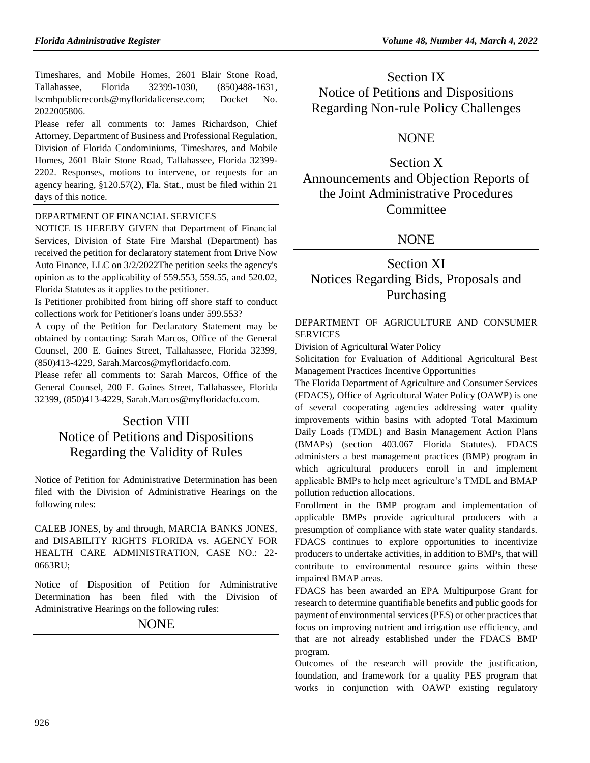Timeshares, and Mobile Homes, 2601 Blair Stone Road, Tallahassee, Florida 32399-1030, (850)488-1631, lscmhpublicrecords@myfloridalicense.com; Docket No. 2022005806.

Please refer all comments to: James Richardson, Chief Attorney, Department of Business and Professional Regulation, Division of Florida Condominiums, Timeshares, and Mobile Homes, 2601 Blair Stone Road, Tallahassee, Florida 32399- 2202. Responses, motions to intervene, or requests for an agency hearing, §120.57(2), Fla. Stat., must be filed within 21 days of this notice.

# [DEPARTMENT OF FINANCIAL SERVICES](https://www.flrules.org/gateway/department.asp?id=69)

NOTICE IS HEREBY GIVEN that Department of Financial Services, Division of State Fire Marshal (Department) has received the petition for declaratory statement from Drive Now Auto Finance, LLC on 3/2/2022The petition seeks the agency's opinion as to the applicability of 559.553, 559.55, and 520.02, Florida Statutes as it applies to the petitioner.

Is Petitioner prohibited from hiring off shore staff to conduct collections work for Petitioner's loans under 599.553?

A copy of the Petition for Declaratory Statement may be obtained by contacting: Sarah Marcos, Office of the General Counsel, 200 E. Gaines Street, Tallahassee, Florida 32399, (850)413-4229, Sarah.Marcos@myfloridacfo.com.

Please refer all comments to: Sarah Marcos, Office of the General Counsel, 200 E. Gaines Street, Tallahassee, Florida 32399, (850)413-4229, Sarah.Marcos@myfloridacfo.com.

# Section VIII Notice of Petitions and Dispositions Regarding the Validity of Rules

Notice of Petition for Administrative Determination has been filed with the Division of Administrative Hearings on the following rules:

CALEB JONES, by and through, MARCIA BANKS JONES, and DISABILITY RIGHTS FLORIDA vs. AGENCY FOR HEALTH CARE ADMINISTRATION, CASE NO.: 22- 0663RU;

Notice of Disposition of Petition for Administrative Determination has been filed with the Division of Administrative Hearings on the following rules:

NONE

Section IX Notice of Petitions and Dispositions Regarding Non-rule Policy Challenges

# NONE

Section X Announcements and Objection Reports of the Joint Administrative Procedures Committee

# NONE

# Section XI Notices Regarding Bids, Proposals and Purchasing

# [DEPARTMENT OF AGRICULTURE AND CONSUMER](https://www.flrules.org/gateway/department.asp?id=5)  **[SERVICES](https://www.flrules.org/gateway/department.asp?id=5)**

[Division of Agricultural Water Policy](https://www.flrules.org/gateway/organization.asp?id=173)

Solicitation for Evaluation of Additional Agricultural Best Management Practices Incentive Opportunities

The Florida Department of Agriculture and Consumer Services (FDACS), Office of Agricultural Water Policy (OAWP) is one of several cooperating agencies addressing water quality improvements within basins with adopted Total Maximum Daily Loads (TMDL) and Basin Management Action Plans (BMAPs) (section [403.067](http://www.leg.state.fl.us/Statutes/index.cfm?App_mode=Display_Statute&URL=0400-0499/0403/Sections/0403.067.html) Florida Statutes). FDACS administers a best management practices (BMP) program in which agricultural producers enroll in and implement applicable BMPs to help meet agriculture's TMDL and BMAP pollution reduction allocations.

Enrollment in the BMP program and implementation of applicable BMPs provide agricultural producers with a presumption of compliance with state water quality standards. FDACS continues to explore opportunities to incentivize producers to undertake activities, in addition to BMPs, that will contribute to environmental resource gains within these impaired BMAP areas.

FDACS has been awarded an EPA Multipurpose Grant for research to determine quantifiable benefits and public goods for payment of environmental services (PES) or other practices that focus on improving nutrient and irrigation use efficiency, and that are not already established under the FDACS BMP program.

Outcomes of the research will provide the justification, foundation, and framework for a quality PES program that works in conjunction with OAWP existing regulatory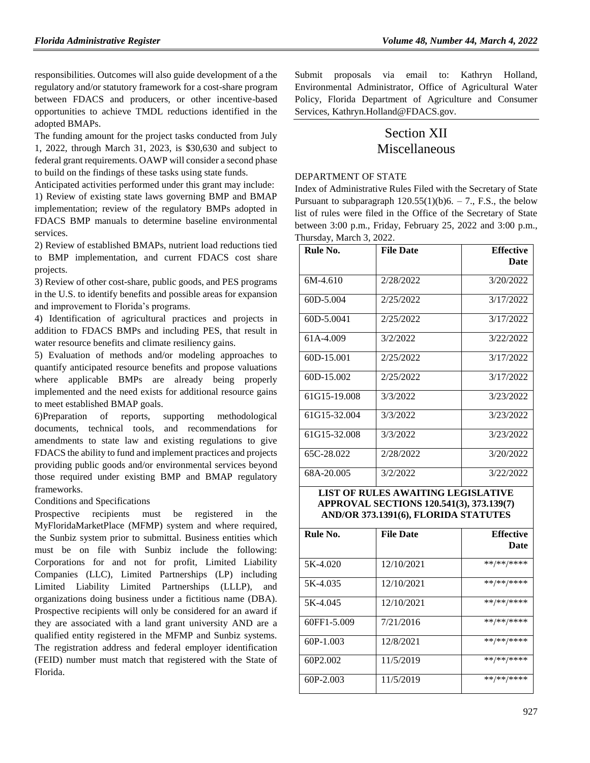responsibilities. Outcomes will also guide development of a the regulatory and/or statutory framework for a cost-share program between FDACS and producers, or other incentive-based opportunities to achieve TMDL reductions identified in the adopted BMAPs.

The funding amount for the project tasks conducted from July 1, 2022, through March 31, 2023, is \$30,630 and subject to federal grant requirements. OAWP will consider a second phase to build on the findings of these tasks using state funds.

Anticipated activities performed under this grant may include: 1) Review of existing state laws governing BMP and BMAP implementation; review of the regulatory BMPs adopted in FDACS BMP manuals to determine baseline environmental services.

2) Review of established BMAPs, nutrient load reductions tied to BMP implementation, and current FDACS cost share projects.

3) Review of other cost-share, public goods, and PES programs in the U.S. to identify benefits and possible areas for expansion and improvement to Florida's programs.

4) Identification of agricultural practices and projects in addition to FDACS BMPs and including PES, that result in water resource benefits and climate resiliency gains.

5) Evaluation of methods and/or modeling approaches to quantify anticipated resource benefits and propose valuations where applicable BMPs are already being properly implemented and the need exists for additional resource gains to meet established BMAP goals.

6)Preparation of reports, supporting methodological documents, technical tools, and recommendations for amendments to state law and existing regulations to give FDACS the ability to fund and implement practices and projects providing public goods and/or environmental services beyond those required under existing BMP and BMAP regulatory frameworks.

Conditions and Specifications

Prospective recipients must be registered in the MyFloridaMarketPlace (MFMP) system and where required, the Sunbiz system prior to submittal. Business entities which must be on file with Sunbiz include the following: Corporations for and not for profit, Limited Liability Companies (LLC), Limited Partnerships (LP) including Limited Liability Limited Partnerships (LLLP), and organizations doing business under a fictitious name (DBA). Prospective recipients will only be considered for an award if they are associated with a land grant university AND are a qualified entity registered in the MFMP and Sunbiz systems. The registration address and federal employer identification (FEID) number must match that registered with the State of Florida.

Submit proposals via email to: Kathryn Holland, Environmental Administrator, Office of Agricultural Water Policy, Florida Department of Agriculture and Consumer Services, [Kathryn.Holland@FDACS.gov.](mailto:Kathryn.Holland@FDACS.gov)

# Section XII Miscellaneous

[DEPARTMENT OF STATE](https://www.flrules.org/gateway/department.asp?id=1)

Index of Administrative Rules Filed with the Secretary of State Pursuant to subparagraph  $120.55(1)(b)6. - 7$ ., F.S., the below list of rules were filed in the Office of the Secretary of State between 3:00 p.m., Friday, February 25, 2022 and 3:00 p.m., Thursday, March 3, 2022.

| Rule No.     | <b>File Date</b> | <b>Effective</b> |
|--------------|------------------|------------------|
|              |                  | Date             |
| $6M-4.610$   | 2/28/2022        | 3/20/2022        |
| 60D-5.004    | 2/25/2022        | 3/17/2022        |
| 60D-5.0041   | 2/25/2022        | 3/17/2022        |
| 61A-4.009    | 3/2/2022         | 3/22/2022        |
| 60D-15.001   | 2/25/2022        | 3/17/2022        |
| 60D-15.002   | 2/25/2022        | 3/17/2022        |
| 61G15-19.008 | 3/3/2022         | 3/23/2022        |
| 61G15-32.004 | 3/3/2022         | 3/23/2022        |
| 61G15-32.008 | 3/3/2022         | 3/23/2022        |
| 65C-28.022   | 2/28/2022        | 3/20/2022        |
| 68A-20.005   | 3/2/2022         | 3/22/2022        |

**LIST OF RULES AWAITING LEGISLATIVE APPROVAL SECTIONS 120.541(3), 373.139(7) AND/OR 373.1391(6), FLORIDA STATUTES**

| Rule No.             | <b>File Date</b> | <b>Effective</b><br>Date |
|----------------------|------------------|--------------------------|
| 5K-4.020             | 12/10/2021       | **/**/****               |
| 5K-4.035             | 12/10/2021       | **/**/****               |
| 5K-4.045             | 12/10/2021       | **/**/****               |
| 60FF1-5.009          | 7/21/2016        | **/**/****               |
| $60P-1.003$          | 12/8/2021        | **/**/****               |
| 60P <sub>2.002</sub> | 11/5/2019        | **/**/****               |
| $60P-2.003$          | 11/5/2019        | **/**/****               |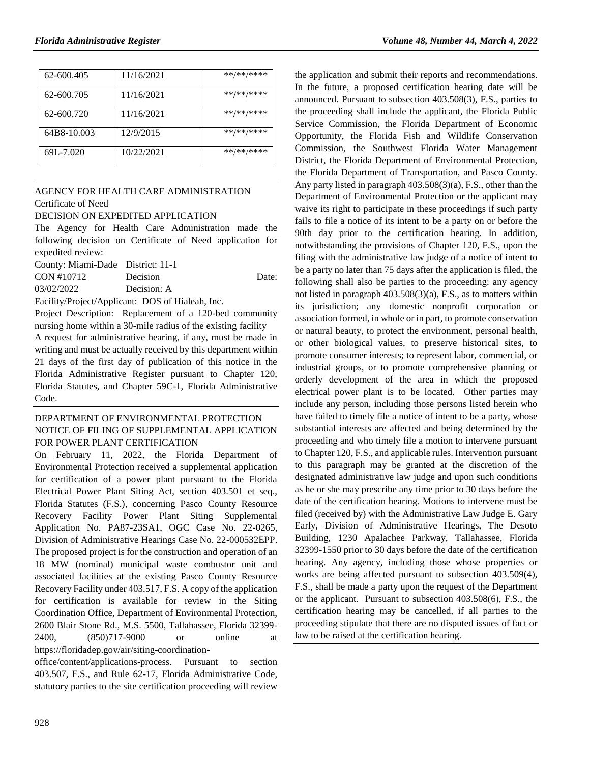| 62-600.405  | 11/16/2021 | **/**/**** |
|-------------|------------|------------|
| 62-600.705  | 11/16/2021 | **/**/**** |
| 62-600.720  | 11/16/2021 | **/**/**** |
| 64B8-10.003 | 12/9/2015  | **/**/**** |
| 69L-7.020   | 10/22/2021 | **/**/**** |

# [AGENCY FOR HEALTH CARE ADMINISTRATION](https://www.flrules.org/gateway/department.asp?id=59) [Certificate of Need](https://www.flrules.org/gateway/organization.asp?id=188)

#### DECISION ON EXPEDITED APPLICATION

The Agency for Health Care Administration made the following decision on Certificate of Need application for expedited review:

| County: Miami-Dade District: 11-1 |                                                                                                                      |       |
|-----------------------------------|----------------------------------------------------------------------------------------------------------------------|-------|
| CON #10712                        | Decision                                                                                                             | Date: |
| 03/02/2022                        | Decision: A                                                                                                          |       |
|                                   | $E_{\rm tot}$ to $D_{\rm tot}$ and $\Lambda_{\rm tot}$ and $D_{\rm O}$ of $D_{\rm tot}$ and $D_{\rm tot}$ in the set |       |

Facility/Project/Applicant: DOS of Hialeah, Inc.

Project Description: Replacement of a 120-bed community nursing home within a 30-mile radius of the existing facility A request for administrative hearing, if any, must be made in writing and must be actually received by this department within 21 days of the first day of publication of this notice in the Florida Administrative Register pursuant to Chapter 120, Florida Statutes, and Chapter 59C-1, Florida Administrative Code.

# [DEPARTMENT OF ENVIRONMENTAL PROTECTION](https://www.flrules.org/gateway/department.asp?id=62) NOTICE OF FILING OF SUPPLEMENTAL APPLICATION FOR POWER PLANT CERTIFICATION

On February 11, 2022, the Florida Department of Environmental Protection received a supplemental application for certification of a power plant pursuant to the Florida Electrical Power Plant Siting Act, section 403.501 et seq., Florida Statutes (F.S.), concerning Pasco County Resource Recovery Facility Power Plant Siting Supplemental Application No. PA87-23SA1, OGC Case No. 22-0265, Division of Administrative Hearings Case No. 22-000532EPP. The proposed project is for the construction and operation of an 18 MW (nominal) municipal waste combustor unit and associated facilities at the existing Pasco County Resource Recovery Facility under 403.517, F.S. A copy of the application for certification is available for review in the Siting Coordination Office, Department of Environmental Protection, 2600 Blair Stone Rd., M.S. 5500, Tallahassee, Florida 32399- 2400, (850)717-9000 or online at [https://floridadep.gov/air/siting-coordination-](https://floridadep.gov/air/siting-coordination-office/content/applications-process)

[office/content/applications-process.](https://floridadep.gov/air/siting-coordination-office/content/applications-process) Pursuant to section 403.507, F.S., and Rule 62-17, Florida Administrative Code, statutory parties to the site certification proceeding will review

the application and submit their reports and recommendations. In the future, a proposed certification hearing date will be announced. Pursuant to subsection 403.508(3), F.S., parties to the proceeding shall include the applicant, the Florida Public Service Commission, the Florida Department of Economic Opportunity, the Florida Fish and Wildlife Conservation Commission, the Southwest Florida Water Management District, the Florida Department of Environmental Protection, the Florida Department of Transportation, and Pasco County. Any party listed in paragraph 403.508(3)(a), F.S., other than the Department of Environmental Protection or the applicant may waive its right to participate in these proceedings if such party fails to file a notice of its intent to be a party on or before the 90th day prior to the certification hearing. In addition, notwithstanding the provisions of Chapter 120, F.S., upon the filing with the administrative law judge of a notice of intent to be a party no later than 75 days after the application is filed, the following shall also be parties to the proceeding: any agency not listed in paragraph 403.508(3)(a), F.S., as to matters within its jurisdiction; any domestic nonprofit corporation or association formed, in whole or in part, to promote conservation or natural beauty, to protect the environment, personal health, or other biological values, to preserve historical sites, to promote consumer interests; to represent labor, commercial, or industrial groups, or to promote comprehensive planning or orderly development of the area in which the proposed electrical power plant is to be located. Other parties may include any person, including those persons listed herein who have failed to timely file a notice of intent to be a party, whose substantial interests are affected and being determined by the proceeding and who timely file a motion to intervene pursuant to Chapter 120, F.S., and applicable rules. Intervention pursuant to this paragraph may be granted at the discretion of the designated administrative law judge and upon such conditions as he or she may prescribe any time prior to 30 days before the date of the certification hearing. Motions to intervene must be filed (received by) with the Administrative Law Judge E. Gary Early, Division of Administrative Hearings, The Desoto Building, 1230 Apalachee Parkway, Tallahassee, Florida 32399-1550 prior to 30 days before the date of the certification hearing. Any agency, including those whose properties or works are being affected pursuant to subsection 403.509(4), F.S., shall be made a party upon the request of the Department or the applicant. Pursuant to subsection 403.508(6), F.S., the certification hearing may be cancelled, if all parties to the proceeding stipulate that there are no disputed issues of fact or law to be raised at the certification hearing.